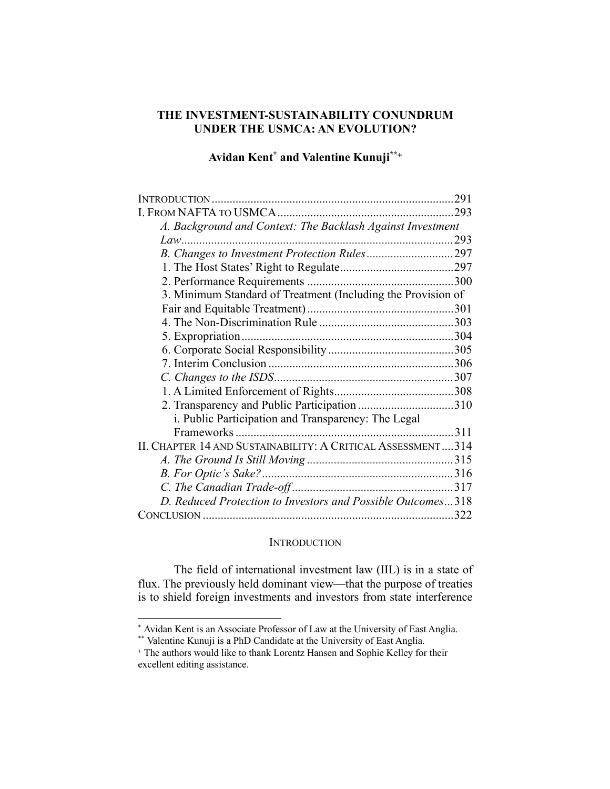## **THE INVESTMENT-SUSTAINABILITY CONUNDRUM UNDER THE USMCA: AN EVOLUTION?**

# **Avidan Kent\* and Valentine Kunuji\*\***<sup>+</sup>

|                                                              | .291 |
|--------------------------------------------------------------|------|
|                                                              |      |
| A. Background and Context: The Backlash Against Investment   |      |
|                                                              |      |
|                                                              |      |
|                                                              |      |
|                                                              |      |
| 3. Minimum Standard of Treatment (Including the Provision of |      |
|                                                              |      |
|                                                              |      |
|                                                              |      |
|                                                              |      |
|                                                              |      |
|                                                              |      |
|                                                              |      |
| 2. Transparency and Public Participation 310                 |      |
| i. Public Participation and Transparency: The Legal          |      |
|                                                              |      |
| II. CHAPTER 14 AND SUSTAINABILITY: A CRITICAL ASSESSMENT314  |      |
|                                                              |      |
|                                                              |      |
|                                                              |      |
| D. Reduced Protection to Investors and Possible Outcomes318  |      |
|                                                              |      |

#### **INTRODUCTION**

The field of international investment law (IIL) is in a state of flux. The previously held dominant view—that the purpose of treaties is to shield foreign investments and investors from state interference

<sup>\*</sup> Avidan Kent is an Associate Professor of Law at the University of East Anglia. \*\* Valentine Kunuji is a PhD Candidate at the University of East Anglia.

<sup>+</sup> The authors would like to thank Lorentz Hansen and Sophie Kelley for their excellent editing assistance.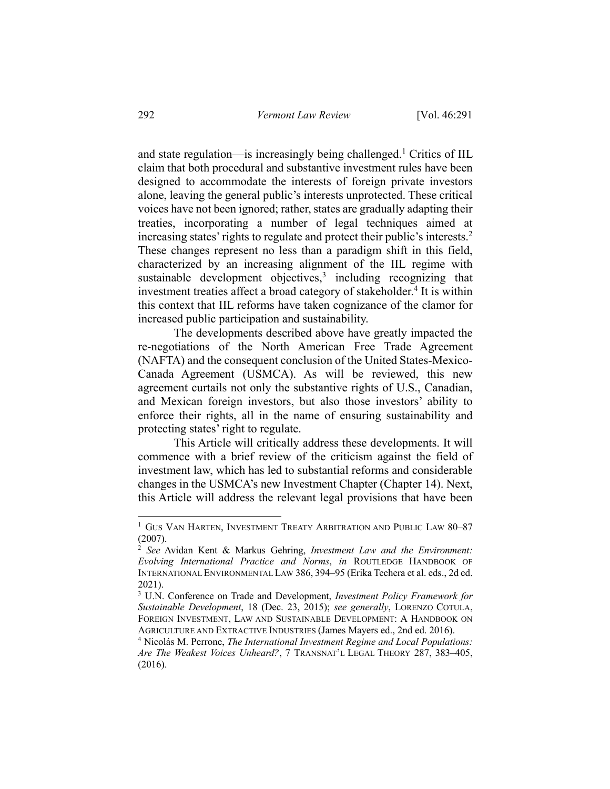and state regulation—is increasingly being challenged.<sup>1</sup> Critics of IIL claim that both procedural and substantive investment rules have been designed to accommodate the interests of foreign private investors alone, leaving the general public's interests unprotected. These critical voices have not been ignored; rather, states are gradually adapting their treaties, incorporating a number of legal techniques aimed at increasing states' rights to regulate and protect their public's interests.2 These changes represent no less than a paradigm shift in this field, characterized by an increasing alignment of the IIL regime with sustainable development objectives, $3$  including recognizing that investment treaties affect a broad category of stakeholder.<sup>4</sup> It is within this context that IIL reforms have taken cognizance of the clamor for increased public participation and sustainability.

The developments described above have greatly impacted the re-negotiations of the North American Free Trade Agreement (NAFTA) and the consequent conclusion of the United States-Mexico-Canada Agreement (USMCA). As will be reviewed, this new agreement curtails not only the substantive rights of U.S., Canadian, and Mexican foreign investors, but also those investors' ability to enforce their rights, all in the name of ensuring sustainability and protecting states' right to regulate.

This Article will critically address these developments. It will commence with a brief review of the criticism against the field of investment law, which has led to substantial reforms and considerable changes in the USMCA's new Investment Chapter (Chapter 14). Next, this Article will address the relevant legal provisions that have been

<sup>&</sup>lt;sup>1</sup> GUS VAN HARTEN, INVESTMENT TREATY ARBITRATION AND PUBLIC LAW 80-87 (2007).

<sup>2</sup> *See* Avidan Kent & Markus Gehring, *Investment Law and the Environment: Evolving International Practice and Norms*, *in* ROUTLEDGE HANDBOOK OF INTERNATIONAL ENVIRONMENTAL LAW 386, 394–95 (Erika Techera et al. eds., 2d ed. 2021).

<sup>3</sup> U.N. Conference on Trade and Development, *Investment Policy Framework for Sustainable Development*, 18 (Dec. 23, 2015); *see generally*, LORENZO COTULA, FOREIGN INVESTMENT, LAW AND SUSTAINABLE DEVELOPMENT: A HANDBOOK ON AGRICULTURE AND EXTRACTIVE INDUSTRIES (James Mayers ed., 2nd ed. 2016).

<sup>4</sup> Nicolás M. Perrone, *The International Investment Regime and Local Populations: Are The Weakest Voices Unheard?*, 7 TRANSNAT'L LEGAL THEORY 287, 383–405, (2016).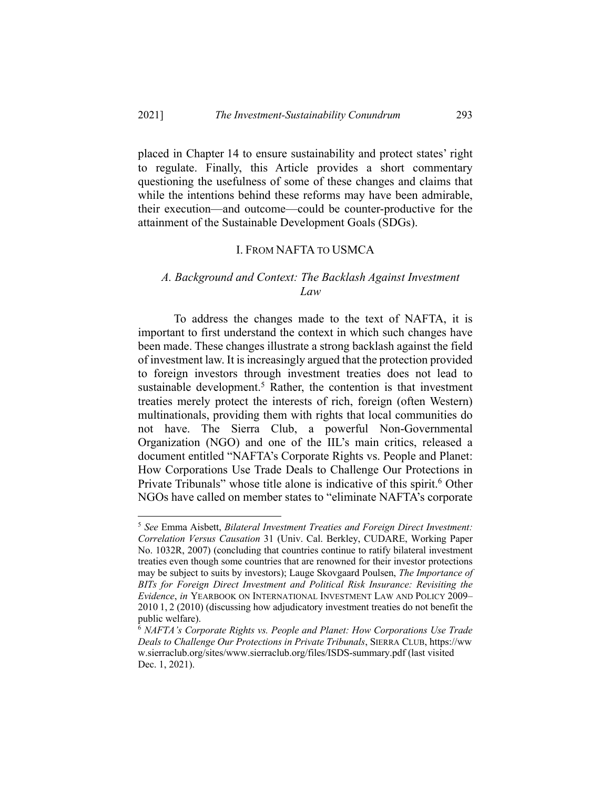placed in Chapter 14 to ensure sustainability and protect states' right to regulate. Finally, this Article provides a short commentary questioning the usefulness of some of these changes and claims that while the intentions behind these reforms may have been admirable, their execution—and outcome—could be counter-productive for the attainment of the Sustainable Development Goals (SDGs).

#### I. FROM NAFTA TO USMCA

## *A. Background and Context: The Backlash Against Investment Law*

To address the changes made to the text of NAFTA, it is important to first understand the context in which such changes have been made. These changes illustrate a strong backlash against the field of investment law. It is increasingly argued that the protection provided to foreign investors through investment treaties does not lead to sustainable development.<sup>5</sup> Rather, the contention is that investment treaties merely protect the interests of rich, foreign (often Western) multinationals, providing them with rights that local communities do not have. The Sierra Club, a powerful Non-Governmental Organization (NGO) and one of the IIL's main critics, released a document entitled "NAFTA's Corporate Rights vs. People and Planet: How Corporations Use Trade Deals to Challenge Our Protections in Private Tribunals" whose title alone is indicative of this spirit.<sup>6</sup> Other NGOs have called on member states to "eliminate NAFTA's corporate

<sup>5</sup> *See* Emma Aisbett, *Bilateral Investment Treaties and Foreign Direct Investment: Correlation Versus Causation* 31 (Univ. Cal. Berkley, CUDARE, Working Paper No. 1032R, 2007) (concluding that countries continue to ratify bilateral investment treaties even though some countries that are renowned for their investor protections may be subject to suits by investors); Lauge Skovgaard Poulsen, *The Importance of BITs for Foreign Direct Investment and Political Risk Insurance: Revisiting the Evidence*, *in* YEARBOOK ON INTERNATIONAL INVESTMENT LAW AND POLICY 2009– 2010 1, 2 (2010) (discussing how adjudicatory investment treaties do not benefit the public welfare).<br><sup>6</sup> *NAFTA's Corporate Rights vs. People and Planet: How Corporations Use Trade* 

*Deals to Challenge Our Protections in Private Tribunals*, SIERRA CLUB, https://ww w.sierraclub.org/sites/www.sierraclub.org/files/ISDS-summary.pdf (last visited Dec. 1, 2021).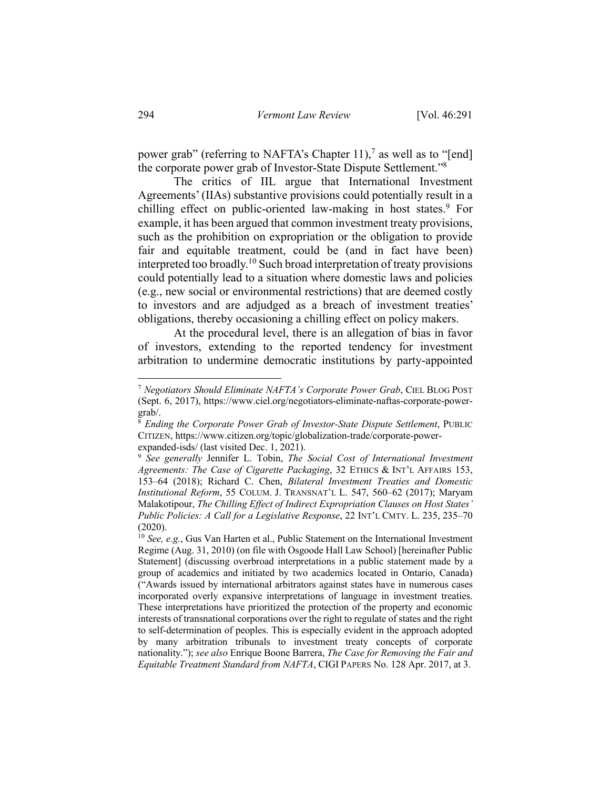power grab" (referring to NAFTA's Chapter 11),<sup>7</sup> as well as to "[end] the corporate power grab of Investor-State Dispute Settlement."8

The critics of IIL argue that International Investment Agreements' (IIAs) substantive provisions could potentially result in a chilling effect on public-oriented law-making in host states.<sup>9</sup> For example, it has been argued that common investment treaty provisions, such as the prohibition on expropriation or the obligation to provide fair and equitable treatment, could be (and in fact have been) interpreted too broadly.10 Such broad interpretation of treaty provisions could potentially lead to a situation where domestic laws and policies (e.g., new social or environmental restrictions) that are deemed costly to investors and are adjudged as a breach of investment treaties' obligations, thereby occasioning a chilling effect on policy makers.

At the procedural level, there is an allegation of bias in favor of investors, extending to the reported tendency for investment arbitration to undermine democratic institutions by party-appointed

<sup>7</sup> *Negotiators Should Eliminate NAFTA's Corporate Power Grab*, CIEL BLOG POST (Sept. 6, 2017), https://www.ciel.org/negotiators-eliminate-naftas-corporate-powergrab/.

<sup>8</sup> *Ending the Corporate Power Grab of Investor-State Dispute Settlement*, PUBLIC CITIZEN, https://www.citizen.org/topic/globalization-trade/corporate-power-

expanded-isds/ (last visited Dec. 1, 2021).<br><sup>9</sup> *See generally Jennifer L. Tobin, The Social Cost of International Investment Agreements: The Case of Cigarette Packaging*, 32 ETHICS & INT'L AFFAIRS 153, 153–64 (2018); Richard C. Chen, *Bilateral Investment Treaties and Domestic Institutional Reform*, 55 COLUM. J. TRANSNAT'L L. 547, 560–62 (2017); Maryam Malakotipour, *The Chilling Effect of Indirect Expropriation Clauses on Host States' Public Policies: A Call for a Legislative Response*, 22 INT'L CMTY. L. 235, 235–70 (2020).

<sup>10</sup> *See, e.g.*, Gus Van Harten et al., Public Statement on the International Investment Regime (Aug. 31, 2010) (on file with Osgoode Hall Law School) [hereinafter Public Statement] (discussing overbroad interpretations in a public statement made by a group of academics and initiated by two academics located in Ontario, Canada) ("Awards issued by international arbitrators against states have in numerous cases incorporated overly expansive interpretations of language in investment treaties. These interpretations have prioritized the protection of the property and economic interests of transnational corporations over the right to regulate of states and the right to self-determination of peoples. This is especially evident in the approach adopted by many arbitration tribunals to investment treaty concepts of corporate nationality."); *see also* Enrique Boone Barrera, *The Case for Removing the Fair and Equitable Treatment Standard from NAFTA*, CIGI PAPERS No. 128 Apr. 2017, at 3.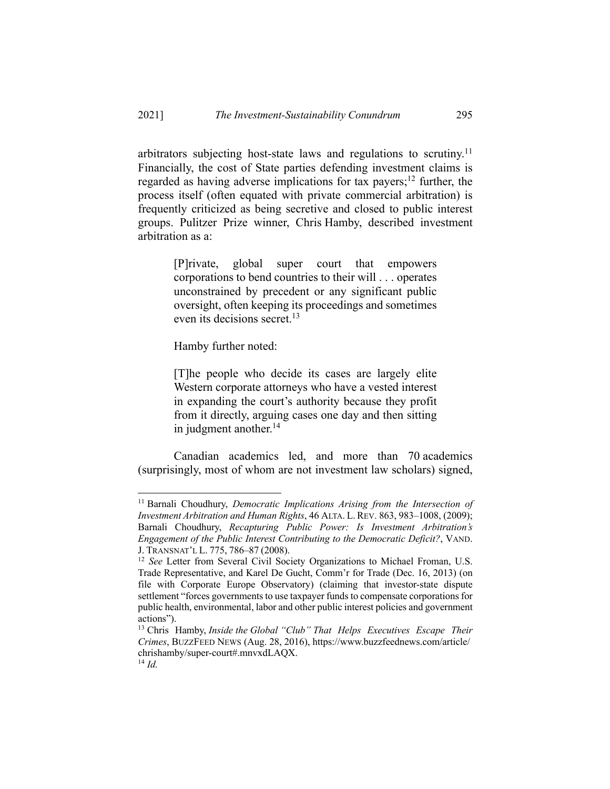arbitrators subjecting host-state laws and regulations to scrutiny.<sup>11</sup> Financially, the cost of State parties defending investment claims is regarded as having adverse implications for tax payers;<sup>12</sup> further, the process itself (often equated with private commercial arbitration) is frequently criticized as being secretive and closed to public interest groups. Pulitzer Prize winner, Chris Hamby, described investment arbitration as a:

> [P]rivate, global super court that empowers corporations to bend countries to their will . . . operates unconstrained by precedent or any significant public oversight, often keeping its proceedings and sometimes even its decisions secret.13

Hamby further noted:

[T]he people who decide its cases are largely elite Western corporate attorneys who have a vested interest in expanding the court's authority because they profit from it directly, arguing cases one day and then sitting in judgment another. $14$ 

Canadian academics led, and more than 70 academics (surprisingly, most of whom are not investment law scholars) signed,

<sup>&</sup>lt;sup>11</sup> Barnali Choudhury, *Democratic Implications Arising from the Intersection of Investment Arbitration and Human Rights*, 46 ALTA. L. REV. 863, 983–1008, (2009); Barnali Choudhury, *Recapturing Public Power: Is Investment Arbitration's Engagement of the Public Interest Contributing to the Democratic Deficit?*, VAND. J. TRANSNAT'L L. 775, 786–87 (2008). 12 *See* Letter from Several Civil Society Organizations to Michael Froman, U.S.

Trade Representative, and Karel De Gucht, Comm'r for Trade (Dec. 16, 2013) (on file with Corporate Europe Observatory) (claiming that investor-state dispute settlement "forces governments to use taxpayer funds to compensate corporations for public health, environmental, labor and other public interest policies and government actions").

<sup>13</sup> Chris Hamby, *Inside the Global "Club" That Helps Executives Escape Their Crimes*, BUZZFEED NEWS (Aug. 28, 2016), https://www.buzzfeednews.com/article/ chrishamby/super-court#.mnvxdLAQX. 14 *Id.*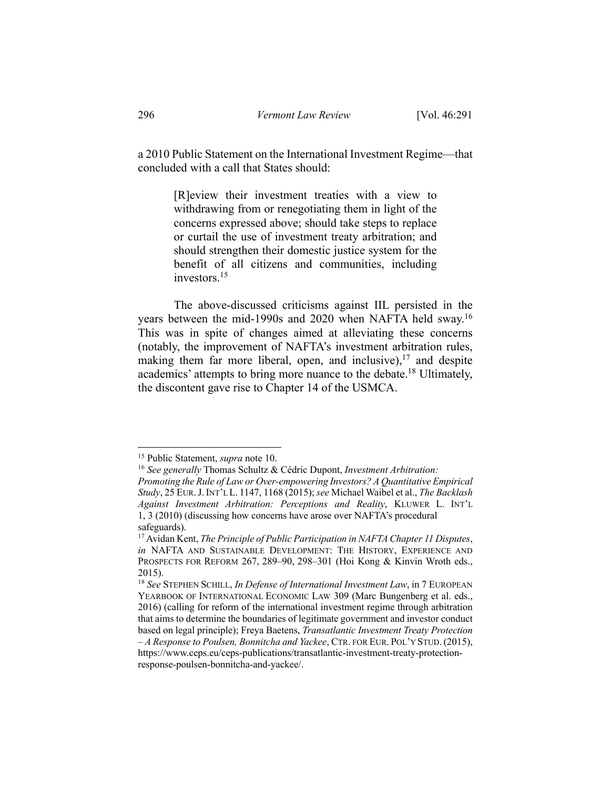a 2010 Public Statement on the International Investment Regime—that concluded with a call that States should:

> [R]eview their investment treaties with a view to withdrawing from or renegotiating them in light of the concerns expressed above; should take steps to replace or curtail the use of investment treaty arbitration; and should strengthen their domestic justice system for the benefit of all citizens and communities, including investors.15

The above-discussed criticisms against IIL persisted in the years between the mid-1990s and 2020 when NAFTA held sway.<sup>16</sup> This was in spite of changes aimed at alleviating these concerns (notably, the improvement of NAFTA's investment arbitration rules, making them far more liberal, open, and inclusive),  $17$  and despite academics' attempts to bring more nuance to the debate.<sup>18</sup> Ultimately, the discontent gave rise to Chapter 14 of the USMCA.

<sup>&</sup>lt;sup>15</sup> Public Statement, *supra* note 10.<br><sup>16</sup> *See generally* Thomas Schultz & Cédric Dupont, *Investment Arbitration: Promoting the Rule of Law or Over-empowering Investors? A Quantitative Empirical Study*, 25 EUR.J.INT'L L. 1147, 1168 (2015); *see* Michael Waibel et al., *The Backlash Against Investment Arbitration: Perceptions and Reality*, KLUWER L. INT'L 1, 3 (2010) (discussing how concerns have arose over NAFTA's procedural safeguards).

<sup>17</sup> Avidan Kent, *The Principle of Public Participation in NAFTA Chapter 11 Disputes*, *in* NAFTA AND SUSTAINABLE DEVELOPMENT: THE HISTORY, EXPERIENCE AND PROSPECTS FOR REFORM 267, 289-90, 298-301 (Hoi Kong & Kinvin Wroth eds., 2015).

<sup>18</sup> *See* STEPHEN SCHILL, *In Defense of International Investment Law*, in 7 EUROPEAN YEARBOOK OF INTERNATIONAL ECONOMIC LAW 309 (Marc Bungenberg et al. eds., 2016) (calling for reform of the international investment regime through arbitration that aims to determine the boundaries of legitimate government and investor conduct based on legal principle); Freya Baetens, *Transatlantic Investment Treaty Protection – A Response to Poulsen, Bonnitcha and Yackee*, CTR. FOR EUR. POL'Y STUD. (2015), https://www.ceps.eu/ceps-publications/transatlantic-investment-treaty-protectionresponse-poulsen-bonnitcha-and-yackee/.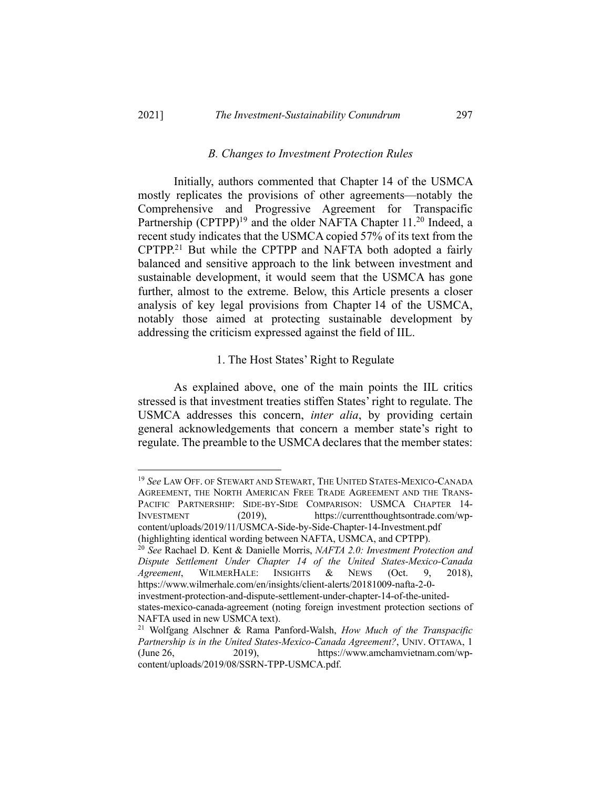### *B. Changes to Investment Protection Rules*

Initially, authors commented that Chapter 14 of the USMCA mostly replicates the provisions of other agreements—notably the Comprehensive and Progressive Agreement for Transpacific Partnership  $(CPTPP)^{19}$  and the older NAFTA Chapter 11.<sup>20</sup> Indeed, a recent study indicates that the USMCA copied 57% of its text from the CPTPP.21 But while the CPTPP and NAFTA both adopted a fairly balanced and sensitive approach to the link between investment and sustainable development, it would seem that the USMCA has gone further, almost to the extreme. Below, this Article presents a closer analysis of key legal provisions from Chapter 14 of the USMCA, notably those aimed at protecting sustainable development by addressing the criticism expressed against the field of IIL.

#### 1. The Host States' Right to Regulate

As explained above, one of the main points the IIL critics stressed is that investment treaties stiffen States' right to regulate. The USMCA addresses this concern, *inter alia*, by providing certain general acknowledgements that concern a member state's right to regulate. The preamble to the USMCA declares that the member states:

<sup>19</sup> *See* LAW OFF. OF STEWART AND STEWART, THE UNITED STATES-MEXICO-CANADA AGREEMENT, THE NORTH AMERICAN FREE TRADE AGREEMENT AND THE TRANS-PACIFIC PARTNERSHIP: SIDE-BY-SIDE COMPARISON: USMCA CHAPTER 14- INVESTMENT (2019), https://currentthoughtsontrade.com/wpcontent/uploads/2019/11/USMCA-Side-by-Side-Chapter-14-Investment.pdf (highlighting identical wording between NAFTA, USMCA, and CPTPP).

<sup>20</sup> *See* Rachael D. Kent & Danielle Morris, *NAFTA 2.0: Investment Protection and Dispute Settlement Under Chapter 14 of the United States-Mexico-Canada Agreement*, WILMERHALE: INSIGHTS & NEWS (Oct. 9, 2018), https://www.wilmerhale.com/en/insights/client-alerts/20181009-nafta-2-0 investment-protection-and-dispute-settlement-under-chapter-14-of-the-united-

states-mexico-canada-agreement (noting foreign investment protection sections of NAFTA used in new USMCA text).

<sup>21</sup> Wolfgang Alschner & Rama Panford-Walsh, *How Much of the Transpacific Partnership is in the United States-Mexico-Canada Agreement?*, UNIV. OTTAWA, 1 (June 26, 2019), https://www.amchamvietnam.com/wpcontent/uploads/2019/08/SSRN-TPP-USMCA.pdf.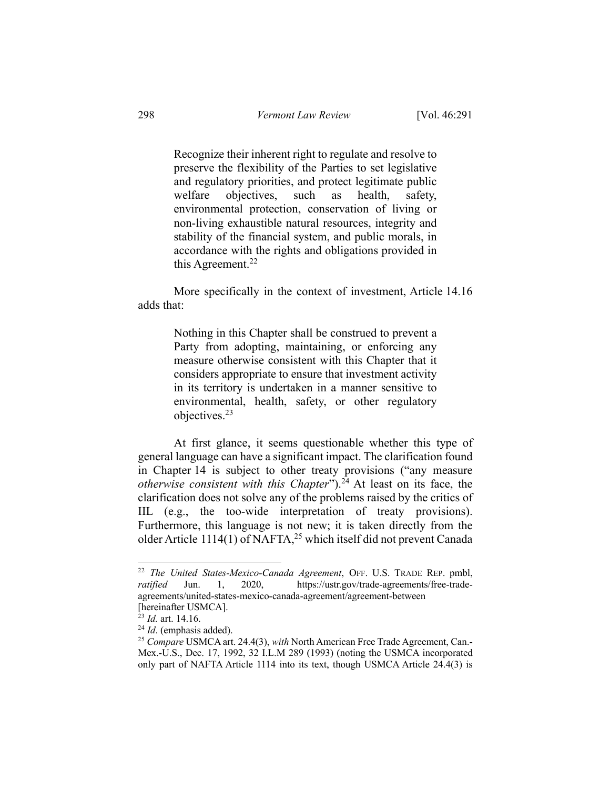Recognize their inherent right to regulate and resolve to preserve the flexibility of the Parties to set legislative and regulatory priorities, and protect legitimate public welfare objectives, such as health, safety, environmental protection, conservation of living or non-living exhaustible natural resources, integrity and stability of the financial system, and public morals, in accordance with the rights and obligations provided in this Agreement. 22

More specifically in the context of investment, Article 14.16 adds that:

> Nothing in this Chapter shall be construed to prevent a Party from adopting, maintaining, or enforcing any measure otherwise consistent with this Chapter that it considers appropriate to ensure that investment activity in its territory is undertaken in a manner sensitive to environmental, health, safety, or other regulatory objectives.23

At first glance, it seems questionable whether this type of general language can have a significant impact. The clarification found in Chapter 14 is subject to other treaty provisions ("any measure *otherwise consistent with this Chapter*").<sup>24</sup> At least on its face, the clarification does not solve any of the problems raised by the critics of IIL (e.g., the too-wide interpretation of treaty provisions). Furthermore, this language is not new; it is taken directly from the older Article 1114(1) of NAFTA,<sup>25</sup> which itself did not prevent Canada

<sup>22</sup> *The United States-Mexico-Canada Agreement*, OFF. U.S. TRADE REP. pmbl, *ratified* Jun. 1, 2020, https://ustr.gov/trade-agreements/free-tradeagreements/united-states-mexico-canada-agreement/agreement-between [hereinafter USMCA].

<sup>23</sup> *Id.* art. 14.16.

<sup>24</sup> *Id*. (emphasis added).

<sup>25</sup> *Compare* USMCA art. 24.4(3), *with* North American Free Trade Agreement, Can.- Mex.-U.S., Dec. 17, 1992, 32 I.L.M 289 (1993) (noting the USMCA incorporated only part of NAFTA Article 1114 into its text, though USMCA Article 24.4(3) is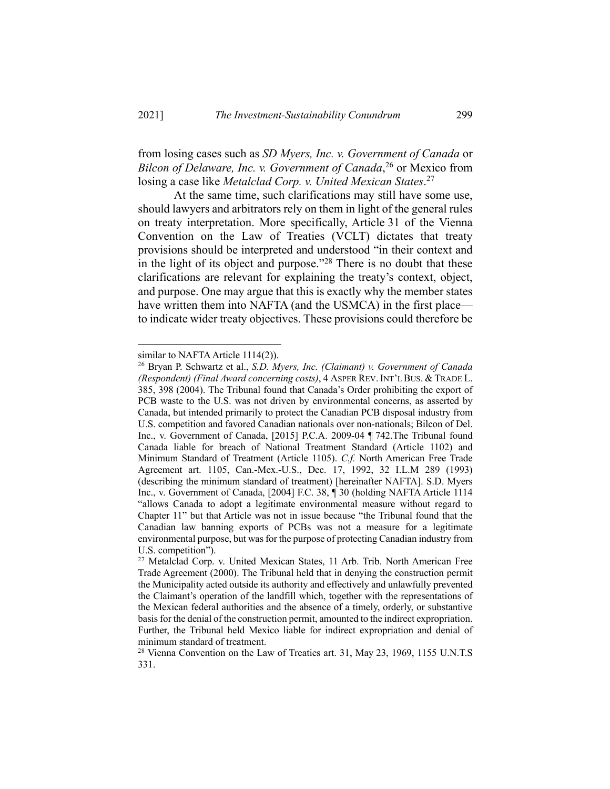from losing cases such as *SD Myers, Inc. v. Government of Canada* or *Bilcon of Delaware, Inc. v. Government of Canada*, <sup>26</sup> or Mexico from losing a case like *Metalclad Corp. v. United Mexican States*. 27

At the same time, such clarifications may still have some use, should lawyers and arbitrators rely on them in light of the general rules on treaty interpretation. More specifically, Article 31 of the Vienna Convention on the Law of Treaties (VCLT) dictates that treaty provisions should be interpreted and understood "in their context and in the light of its object and purpose."<sup>28</sup> There is no doubt that these clarifications are relevant for explaining the treaty's context, object, and purpose. One may argue that this is exactly why the member states have written them into NAFTA (and the USMCA) in the first place to indicate wider treaty objectives. These provisions could therefore be

similar to NAFTA Article 1114(2)).

<sup>26</sup> Bryan P. Schwartz et al., *S.D. Myers, Inc. (Claimant) v. Government of Canada (Respondent) (Final Award concerning costs)*, 4 ASPER REV. INT'L BUS. & TRADE L. 385, 398 (2004). The Tribunal found that Canada's Order prohibiting the export of PCB waste to the U.S. was not driven by environmental concerns, as asserted by Canada, but intended primarily to protect the Canadian PCB disposal industry from U.S. competition and favored Canadian nationals over non-nationals; Bilcon of Del. Inc., v. Government of Canada, [2015] P.C.A. 2009-04 ¶ 742.The Tribunal found Canada liable for breach of National Treatment Standard (Article 1102) and Minimum Standard of Treatment (Article 1105). *C.f.* North American Free Trade Agreement art. 1105, Can.-Mex.-U.S., Dec. 17, 1992, 32 I.L.M 289 (1993) (describing the minimum standard of treatment) [hereinafter NAFTA]. S.D. Myers Inc., v. Government of Canada, [2004] F.C. 38, ¶ 30 (holding NAFTA Article 1114 "allows Canada to adopt a legitimate environmental measure without regard to Chapter 11" but that Article was not in issue because "the Tribunal found that the Canadian law banning exports of PCBs was not a measure for a legitimate environmental purpose, but was for the purpose of protecting Canadian industry from U.S. competition").

<sup>&</sup>lt;sup>27</sup> Metalclad Corp. v. United Mexican States, 11 Arb. Trib. North American Free Trade Agreement (2000). The Tribunal held that in denying the construction permit the Municipality acted outside its authority and effectively and unlawfully prevented the Claimant's operation of the landfill which, together with the representations of the Mexican federal authorities and the absence of a timely, orderly, or substantive basis for the denial of the construction permit, amounted to the indirect expropriation. Further, the Tribunal held Mexico liable for indirect expropriation and denial of minimum standard of treatment.

<sup>&</sup>lt;sup>28</sup> Vienna Convention on the Law of Treaties art. 31, May 23, 1969, 1155 U.N.T.S 331.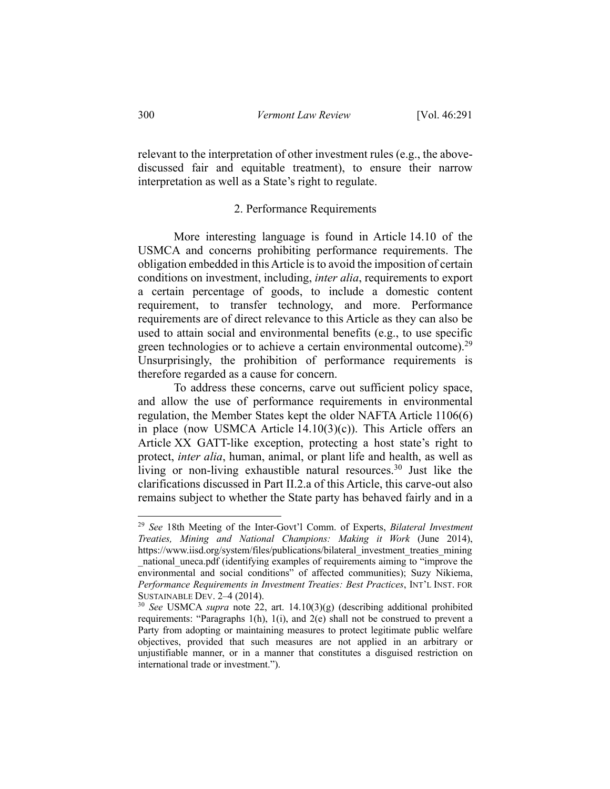relevant to the interpretation of other investment rules (e.g., the abovediscussed fair and equitable treatment), to ensure their narrow interpretation as well as a State's right to regulate.

### 2. Performance Requirements

More interesting language is found in Article 14.10 of the USMCA and concerns prohibiting performance requirements. The obligation embedded in this Article is to avoid the imposition of certain conditions on investment, including, *inter alia*, requirements to export a certain percentage of goods, to include a domestic content requirement, to transfer technology, and more. Performance requirements are of direct relevance to this Article as they can also be used to attain social and environmental benefits (e.g., to use specific green technologies or to achieve a certain environmental outcome).<sup>29</sup> Unsurprisingly, the prohibition of performance requirements is therefore regarded as a cause for concern.

To address these concerns, carve out sufficient policy space, and allow the use of performance requirements in environmental regulation, the Member States kept the older NAFTA Article 1106(6) in place (now USMCA Article  $14.10(3)(c)$ ). This Article offers an Article XX GATT-like exception, protecting a host state's right to protect, *inter alia*, human, animal, or plant life and health, as well as living or non-living exhaustible natural resources.<sup>30</sup> Just like the clarifications discussed in Part II.2.a of this Article, this carve-out also remains subject to whether the State party has behaved fairly and in a

<sup>29</sup> *See* 18th Meeting of the Inter-Govt'l Comm. of Experts, *Bilateral Investment Treaties, Mining and National Champions: Making it Work* (June 2014), https://www.iisd.org/system/files/publications/bilateral\_investment\_treaties\_mining national uneca.pdf (identifying examples of requirements aiming to "improve the environmental and social conditions" of affected communities); Suzy Nikiema, *Performance Requirements in Investment Treaties: Best Practices*, INT'L INST. FOR SUSTAINABLE DEV. 2–4 (2014).

<sup>30</sup> *See* USMCA *supra* note 22, art. 14.10(3)(g) (describing additional prohibited requirements: "Paragraphs 1(h), 1(i), and 2(e) shall not be construed to prevent a Party from adopting or maintaining measures to protect legitimate public welfare objectives, provided that such measures are not applied in an arbitrary or unjustifiable manner, or in a manner that constitutes a disguised restriction on international trade or investment.").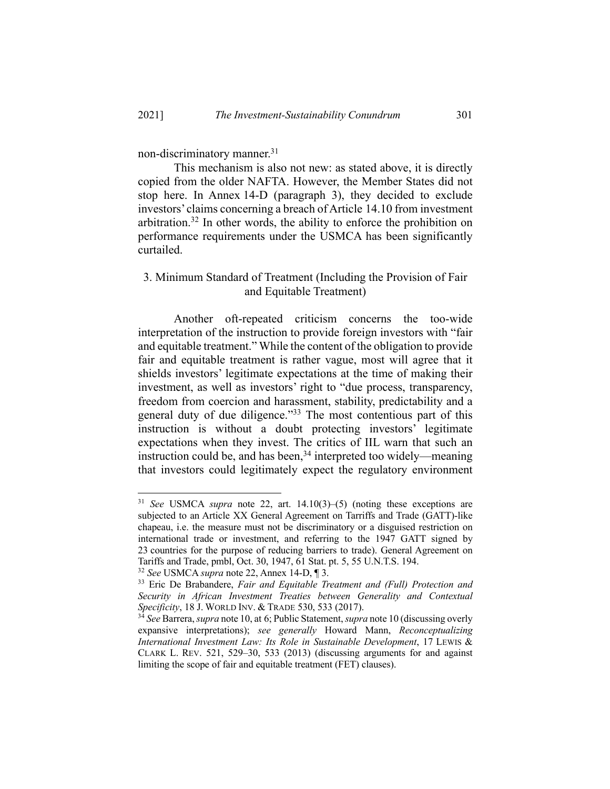non-discriminatory manner.31

This mechanism is also not new: as stated above, it is directly copied from the older NAFTA. However, the Member States did not stop here. In Annex 14-D (paragraph 3), they decided to exclude investors' claims concerning a breach of Article 14.10 from investment arbitration.<sup>32</sup> In other words, the ability to enforce the prohibition on performance requirements under the USMCA has been significantly curtailed.

## 3. Minimum Standard of Treatment (Including the Provision of Fair and Equitable Treatment)

Another oft-repeated criticism concerns the too-wide interpretation of the instruction to provide foreign investors with "fair and equitable treatment." While the content of the obligation to provide fair and equitable treatment is rather vague, most will agree that it shields investors' legitimate expectations at the time of making their investment, as well as investors' right to "due process, transparency, freedom from coercion and harassment, stability, predictability and a general duty of due diligence."<sup>33</sup> The most contentious part of this instruction is without a doubt protecting investors' legitimate expectations when they invest. The critics of IIL warn that such an instruction could be, and has been,  $34$  interpreted too widely—meaning that investors could legitimately expect the regulatory environment

<sup>31</sup> *See* USMCA *supra* note 22, art. 14.10(3)–(5) (noting these exceptions are subjected to an Article XX General Agreement on Tarriffs and Trade (GATT)-like chapeau, i.e. the measure must not be discriminatory or a disguised restriction on international trade or investment, and referring to the 1947 GATT signed by 23 countries for the purpose of reducing barriers to trade). General Agreement on Tariffs and Trade, pmbl, Oct. 30, 1947, 61 Stat. pt. 5, 55 U.N.T.S. 194.

<sup>32</sup> *See* USMCA *supra* note 22, Annex 14-D, ¶ 3.

<sup>33</sup> Eric De Brabandere, *Fair and Equitable Treatment and (Full) Protection and Security in African Investment Treaties between Generality and Contextual Specificity*, 18 J. WORLD INV. & TRADE 530, 533 (2017).

<sup>34</sup> *See* Barrera, *supra* note 10, at 6; Public Statement, *supra* note 10 (discussing overly expansive interpretations); *see generally* Howard Mann, *Reconceptualizing International Investment Law: Its Role in Sustainable Development*, 17 LEWIS & CLARK L. REV. 521, 529–30, 533 (2013) (discussing arguments for and against limiting the scope of fair and equitable treatment (FET) clauses).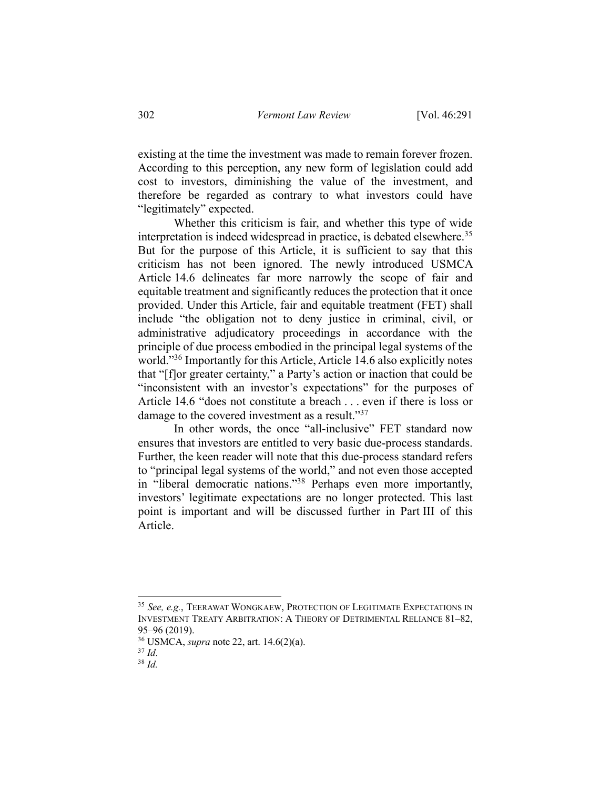existing at the time the investment was made to remain forever frozen. According to this perception, any new form of legislation could add cost to investors, diminishing the value of the investment, and therefore be regarded as contrary to what investors could have "legitimately" expected.

Whether this criticism is fair, and whether this type of wide interpretation is indeed widespread in practice, is debated elsewhere.<sup>35</sup> But for the purpose of this Article, it is sufficient to say that this criticism has not been ignored. The newly introduced USMCA Article 14.6 delineates far more narrowly the scope of fair and equitable treatment and significantly reduces the protection that it once provided. Under this Article, fair and equitable treatment (FET) shall include "the obligation not to deny justice in criminal, civil, or administrative adjudicatory proceedings in accordance with the principle of due process embodied in the principal legal systems of the world."<sup>36</sup> Importantly for this Article, Article 14.6 also explicitly notes that "[f]or greater certainty," a Party's action or inaction that could be "inconsistent with an investor's expectations" for the purposes of Article 14.6 "does not constitute a breach . . . even if there is loss or damage to the covered investment as a result."<sup>37</sup>

In other words, the once "all-inclusive" FET standard now ensures that investors are entitled to very basic due-process standards. Further, the keen reader will note that this due-process standard refers to "principal legal systems of the world," and not even those accepted in "liberal democratic nations."38 Perhaps even more importantly, investors' legitimate expectations are no longer protected. This last point is important and will be discussed further in Part III of this Article.

<sup>35</sup> *See, e.g.*, TEERAWAT WONGKAEW, PROTECTION OF LEGITIMATE EXPECTATIONS IN INVESTMENT TREATY ARBITRATION: A THEORY OF DETRIMENTAL RELIANCE 81–82,

<sup>95–96</sup> (2019). 36 USMCA, *supra* note 22, art. 14.6(2)(a). 37 *Id*. 38 *Id.*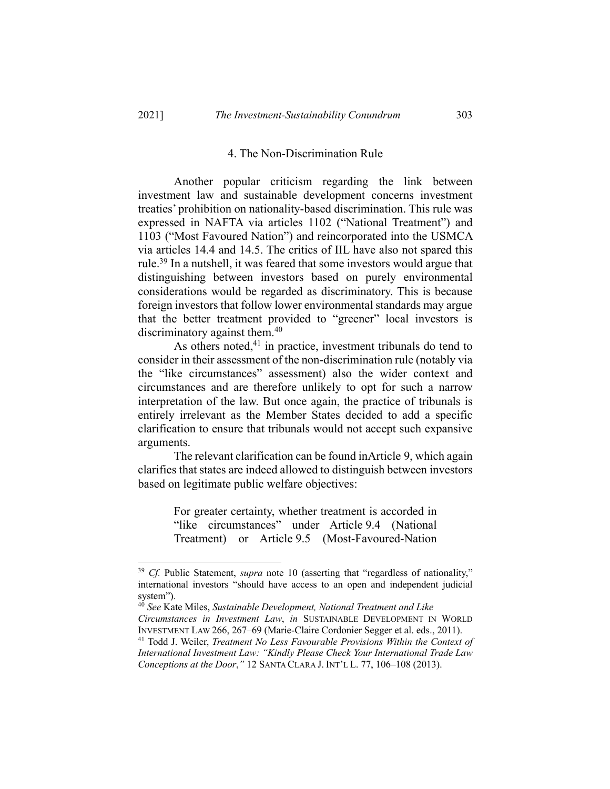## 4. The Non-Discrimination Rule

Another popular criticism regarding the link between investment law and sustainable development concerns investment treaties' prohibition on nationality-based discrimination. This rule was expressed in NAFTA via articles 1102 ("National Treatment") and 1103 ("Most Favoured Nation") and reincorporated into the USMCA via articles 14.4 and 14.5. The critics of IIL have also not spared this rule.<sup>39</sup> In a nutshell, it was feared that some investors would argue that distinguishing between investors based on purely environmental considerations would be regarded as discriminatory. This is because foreign investors that follow lower environmental standards may argue that the better treatment provided to "greener" local investors is discriminatory against them.<sup>40</sup>

As others noted, $41$  in practice, investment tribunals do tend to consider in their assessment of the non-discrimination rule (notably via the "like circumstances" assessment) also the wider context and circumstances and are therefore unlikely to opt for such a narrow interpretation of the law. But once again, the practice of tribunals is entirely irrelevant as the Member States decided to add a specific clarification to ensure that tribunals would not accept such expansive arguments.

The relevant clarification can be found inArticle 9, which again clarifies that states are indeed allowed to distinguish between investors based on legitimate public welfare objectives:

> For greater certainty, whether treatment is accorded in "like circumstances" under Article 9.4 (National Treatment) or Article 9.5 (Most-Favoured-Nation

<sup>&</sup>lt;sup>39</sup> *Cf.* Public Statement, *supra* note 10 (asserting that "regardless of nationality," international investors "should have access to an open and independent judicial system").

<sup>40</sup> *See* Kate Miles, *Sustainable Development, National Treatment and Like Circumstances in Investment Law*, *in* SUSTAINABLE DEVELOPMENT IN WORLD

<sup>&</sup>lt;sup>41</sup> Todd J. Weiler, *Treatment No Less Favourable Provisions Within the Context of International Investment Law: "Kindly Please Check Your International Trade Law Conceptions at the Door*,*"* 12 SANTA CLARA J. INT'L L. 77, 106–108 (2013).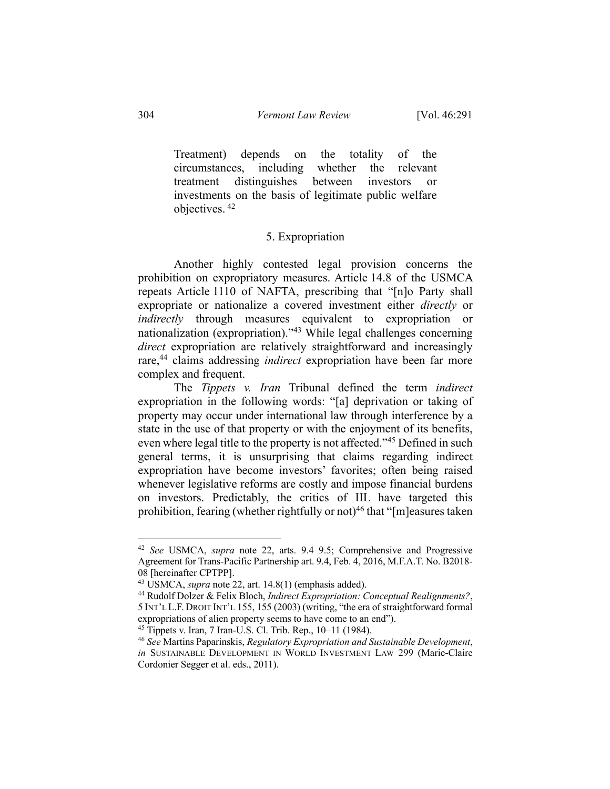Treatment) depends on the totality of the circumstances, including whether the relevant treatment distinguishes between investors or investments on the basis of legitimate public welfare objectives. <sup>42</sup>

#### 5. Expropriation

Another highly contested legal provision concerns the prohibition on expropriatory measures. Article 14.8 of the USMCA repeats Article 1110 of NAFTA, prescribing that "[n]o Party shall expropriate or nationalize a covered investment either *directly* or *indirectly* through measures equivalent to expropriation or nationalization (expropriation)."43 While legal challenges concerning *direct* expropriation are relatively straightforward and increasingly rare,<sup>44</sup> claims addressing *indirect* expropriation have been far more complex and frequent.

The *Tippets v. Iran* Tribunal defined the term *indirect* expropriation in the following words: "[a] deprivation or taking of property may occur under international law through interference by a state in the use of that property or with the enjoyment of its benefits, even where legal title to the property is not affected."<sup>45</sup> Defined in such general terms, it is unsurprising that claims regarding indirect expropriation have become investors' favorites; often being raised whenever legislative reforms are costly and impose financial burdens on investors. Predictably, the critics of IIL have targeted this prohibition, fearing (whether rightfully or not)<sup>46</sup> that "[m]easures taken

<sup>42</sup> *See* USMCA, *supra* note 22, arts. 9.4–9.5; Comprehensive and Progressive Agreement for Trans-Pacific Partnership art. 9.4, Feb. 4, 2016, M.F.A.T. No. B2018- 08 [hereinafter CPTPP].

<sup>43</sup> USMCA, *supra* note 22, art. 14.8(1) (emphasis added).

<sup>44</sup> Rudolf Dolzer & Felix Bloch, *Indirect Expropriation: Conceptual Realignments?*, 5 INT'L L.F. DROIT INT'L 155, 155 (2003) (writing, "the era of straightforward formal expropriations of alien property seems to have come to an end").<br><sup>45</sup> Tippets v. Iran, 7 Iran-U.S. Cl. Trib. Rep., 10–11 (1984).

<sup>&</sup>lt;sup>46</sup> See Martins Paparinskis, *Regulatory Expropriation and Sustainable Development*, *in* SUSTAINABLE DEVELOPMENT IN WORLD INVESTMENT LAW 299 (Marie-Claire Cordonier Segger et al. eds., 2011).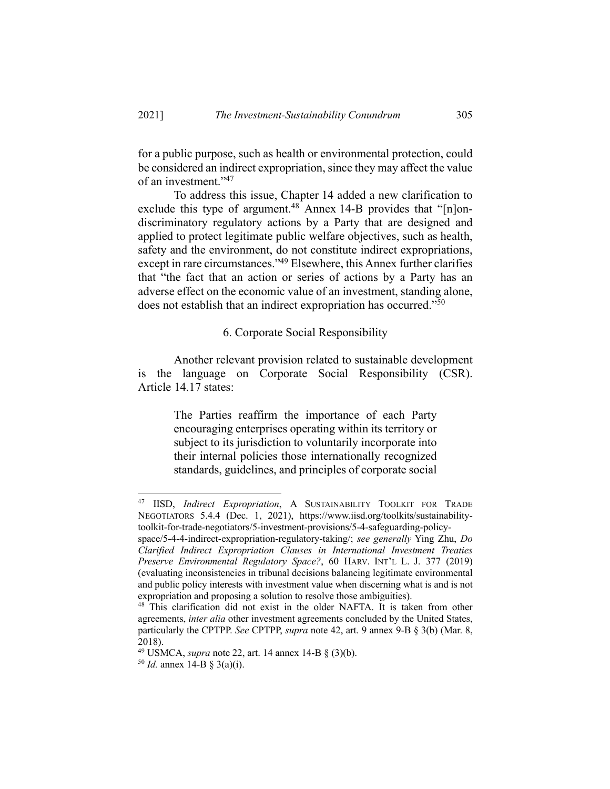for a public purpose, such as health or environmental protection, could be considered an indirect expropriation, since they may affect the value of an investment."47

To address this issue, Chapter 14 added a new clarification to exclude this type of argument.<sup>48</sup> Annex 14-B provides that " $[n]$ ondiscriminatory regulatory actions by a Party that are designed and applied to protect legitimate public welfare objectives, such as health, safety and the environment, do not constitute indirect expropriations, except in rare circumstances."49 Elsewhere, this Annex further clarifies that "the fact that an action or series of actions by a Party has an adverse effect on the economic value of an investment, standing alone, does not establish that an indirect expropriation has occurred."50

## 6. Corporate Social Responsibility

Another relevant provision related to sustainable development is the language on Corporate Social Responsibility (CSR). Article 14.17 states:

> The Parties reaffirm the importance of each Party encouraging enterprises operating within its territory or subject to its jurisdiction to voluntarily incorporate into their internal policies those internationally recognized standards, guidelines, and principles of corporate social

<sup>47</sup> IISD, *Indirect Expropriation*, A SUSTAINABILITY TOOLKIT FOR TRADE NEGOTIATORS 5.4.4 (Dec. 1, 2021), https://www.iisd.org/toolkits/sustainabilitytoolkit-for-trade-negotiators/5-investment-provisions/5-4-safeguarding-policy-

space/5-4-4-indirect-expropriation-regulatory-taking/; *see generally* Ying Zhu, *Do Clarified Indirect Expropriation Clauses in International Investment Treaties Preserve Environmental Regulatory Space?*, 60 HARV. INT'L L. J. 377 (2019) (evaluating inconsistencies in tribunal decisions balancing legitimate environmental and public policy interests with investment value when discerning what is and is not expropriation and proposing a solution to resolve those ambiguities).

<sup>&</sup>lt;sup>48</sup> This clarification did not exist in the older NAFTA. It is taken from other agreements, *inter alia* other investment agreements concluded by the United States, particularly the CPTPP. *See* CPTPP, *supra* note 42, art. 9 annex 9-B § 3(b) (Mar. 8, 2018). 49 USMCA, *supra* note 22, art. 14 annex 14-B § (3)(b).

<sup>50</sup> *Id.* annex 14-B § 3(a)(i).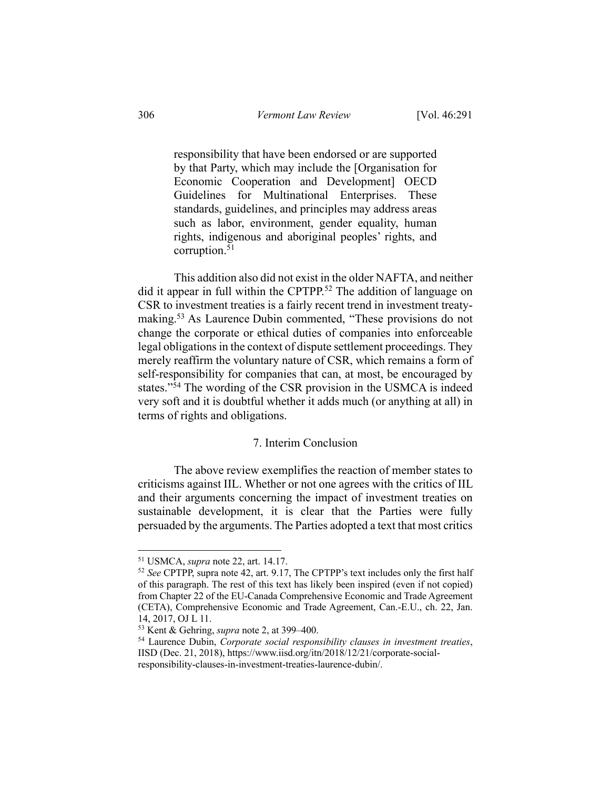responsibility that have been endorsed or are supported by that Party, which may include the [Organisation for Economic Cooperation and Development] OECD Guidelines for Multinational Enterprises. These standards, guidelines, and principles may address areas such as labor, environment, gender equality, human rights, indigenous and aboriginal peoples' rights, and corruption.51

This addition also did not exist in the older NAFTA, and neither did it appear in full within the CPTPP.<sup>52</sup> The addition of language on CSR to investment treaties is a fairly recent trend in investment treatymaking.<sup>53</sup> As Laurence Dubin commented, "These provisions do not change the corporate or ethical duties of companies into enforceable legal obligations in the context of dispute settlement proceedings. They merely reaffirm the voluntary nature of CSR, which remains a form of self-responsibility for companies that can, at most, be encouraged by states."<sup>54</sup> The wording of the CSR provision in the USMCA is indeed very soft and it is doubtful whether it adds much (or anything at all) in terms of rights and obligations.

### 7. Interim Conclusion

The above review exemplifies the reaction of member states to criticisms against IIL. Whether or not one agrees with the critics of IIL and their arguments concerning the impact of investment treaties on sustainable development, it is clear that the Parties were fully persuaded by the arguments. The Parties adopted a text that most critics

<sup>51</sup> USMCA, *supra* note 22, art. 14.17.

<sup>52</sup> *See* CPTPP, supra note 42, art. 9.17, The CPTPP's text includes only the first half of this paragraph. The rest of this text has likely been inspired (even if not copied) from Chapter 22 of the EU-Canada Comprehensive Economic and Trade Agreement (CETA), Comprehensive Economic and Trade Agreement, Can.-E.U., ch. 22, Jan. 14, 2017, OJ L 11.<br><sup>53</sup> Kent & Gehring, *supra* note 2, at 399–400.

<sup>&</sup>lt;sup>54</sup> Laurence Dubin, *Corporate social responsibility clauses in investment treaties*, IISD (Dec. 21, 2018), https://www.iisd.org/itn/2018/12/21/corporate-socialresponsibility-clauses-in-investment-treaties-laurence-dubin/.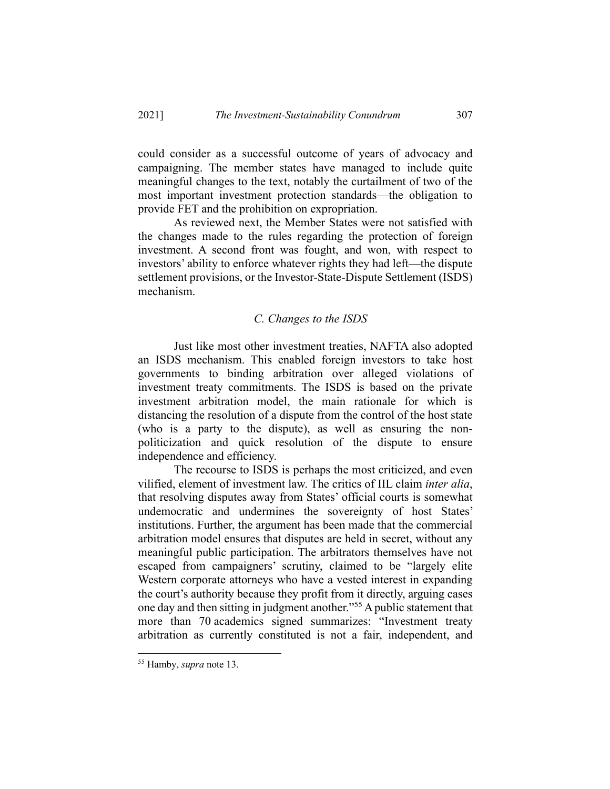could consider as a successful outcome of years of advocacy and campaigning. The member states have managed to include quite meaningful changes to the text, notably the curtailment of two of the most important investment protection standards—the obligation to provide FET and the prohibition on expropriation.

As reviewed next, the Member States were not satisfied with the changes made to the rules regarding the protection of foreign investment. A second front was fought, and won, with respect to investors' ability to enforce whatever rights they had left—the dispute settlement provisions, or the Investor-State-Dispute Settlement (ISDS) mechanism.

#### *C. Changes to the ISDS*

Just like most other investment treaties, NAFTA also adopted an ISDS mechanism. This enabled foreign investors to take host governments to binding arbitration over alleged violations of investment treaty commitments. The ISDS is based on the private investment arbitration model, the main rationale for which is distancing the resolution of a dispute from the control of the host state (who is a party to the dispute), as well as ensuring the nonpoliticization and quick resolution of the dispute to ensure independence and efficiency.

The recourse to ISDS is perhaps the most criticized, and even vilified, element of investment law. The critics of IIL claim *inter alia*, that resolving disputes away from States' official courts is somewhat undemocratic and undermines the sovereignty of host States' institutions. Further, the argument has been made that the commercial arbitration model ensures that disputes are held in secret, without any meaningful public participation. The arbitrators themselves have not escaped from campaigners' scrutiny, claimed to be "largely elite Western corporate attorneys who have a vested interest in expanding the court's authority because they profit from it directly, arguing cases one day and then sitting in judgment another."55 A public statement that more than 70 academics signed summarizes: "Investment treaty arbitration as currently constituted is not a fair, independent, and

<sup>55</sup> Hamby, *supra* note 13.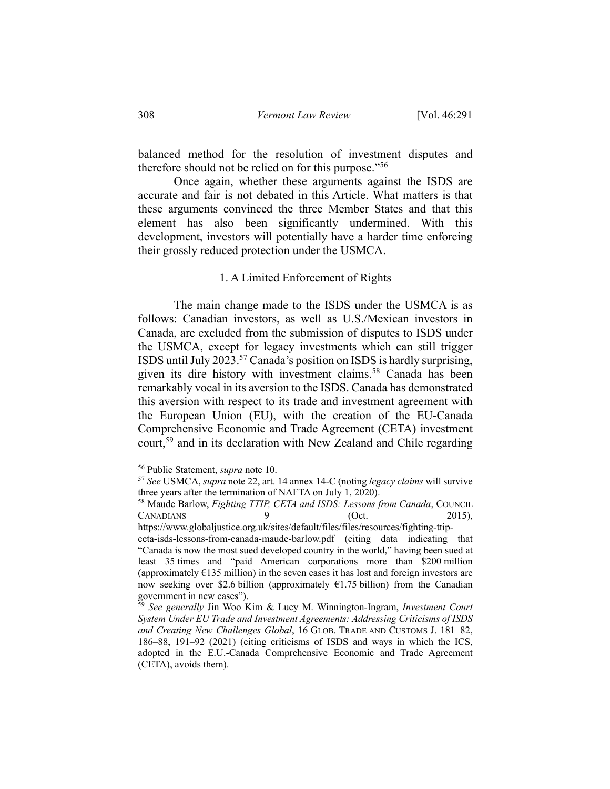balanced method for the resolution of investment disputes and therefore should not be relied on for this purpose."56

Once again, whether these arguments against the ISDS are accurate and fair is not debated in this Article. What matters is that these arguments convinced the three Member States and that this element has also been significantly undermined. With this development, investors will potentially have a harder time enforcing their grossly reduced protection under the USMCA.

#### 1. A Limited Enforcement of Rights

The main change made to the ISDS under the USMCA is as follows: Canadian investors, as well as U.S./Mexican investors in Canada, are excluded from the submission of disputes to ISDS under the USMCA, except for legacy investments which can still trigger ISDS until July 2023.57 Canada's position on ISDS is hardly surprising, given its dire history with investment claims.<sup>58</sup> Canada has been remarkably vocal in its aversion to the ISDS. Canada has demonstrated this aversion with respect to its trade and investment agreement with the European Union (EU), with the creation of the EU-Canada Comprehensive Economic and Trade Agreement (CETA) investment court,<sup>59</sup> and in its declaration with New Zealand and Chile regarding

https://www.globaljustice.org.uk/sites/default/files/files/resources/fighting-ttip-

<sup>56</sup> Public Statement, *supra* note 10. 57 *See* USMCA, *supra* note 22, art. 14 annex 14-C (noting *legacy claims* will survive three years after the termination of NAFTA on July 1, 2020).

<sup>58</sup> Maude Barlow, *Fighting TTIP, CETA and ISDS: Lessons from Canada*, COUNCIL CANADIANS 9 (Oct. 2015),

ceta-isds-lessons-from-canada-maude-barlow.pdf (citing data indicating that "Canada is now the most sued developed country in the world," having been sued at least 35 times and "paid American corporations more than \$200 million (approximately  $E(135 \text{ million})$  in the seven cases it has lost and foreign investors are now seeking over \$2.6 billion (approximately  $61.75$  billion) from the Canadian government in new cases").

<sup>59</sup> *See generally* Jin Woo Kim & Lucy M. Winnington-Ingram, *Investment Court System Under EU Trade and Investment Agreements: Addressing Criticisms of ISDS and Creating New Challenges Global*, 16 GLOB. TRADE AND CUSTOMS J. 181–82, 186–88, 191–92 (2021) (citing criticisms of ISDS and ways in which the ICS, adopted in the E.U.-Canada Comprehensive Economic and Trade Agreement (CETA), avoids them).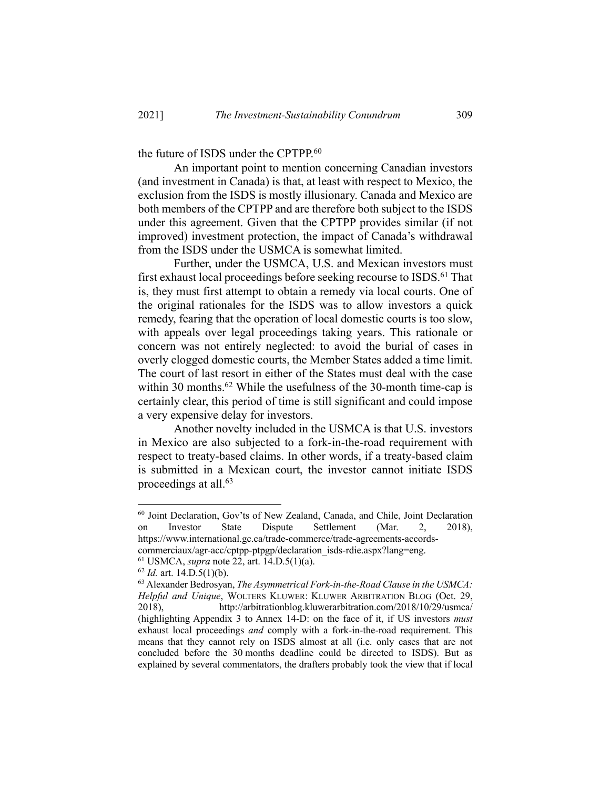the future of ISDS under the CPTPP.<sup>60</sup>

An important point to mention concerning Canadian investors (and investment in Canada) is that, at least with respect to Mexico, the exclusion from the ISDS is mostly illusionary. Canada and Mexico are both members of the CPTPP and are therefore both subject to the ISDS under this agreement. Given that the CPTPP provides similar (if not improved) investment protection, the impact of Canada's withdrawal from the ISDS under the USMCA is somewhat limited.

Further, under the USMCA, U.S. and Mexican investors must first exhaust local proceedings before seeking recourse to ISDS.<sup>61</sup> That is, they must first attempt to obtain a remedy via local courts. One of the original rationales for the ISDS was to allow investors a quick remedy, fearing that the operation of local domestic courts is too slow, with appeals over legal proceedings taking years. This rationale or concern was not entirely neglected: to avoid the burial of cases in overly clogged domestic courts, the Member States added a time limit. The court of last resort in either of the States must deal with the case within 30 months.<sup>62</sup> While the usefulness of the 30-month time-cap is certainly clear, this period of time is still significant and could impose a very expensive delay for investors.

Another novelty included in the USMCA is that U.S. investors in Mexico are also subjected to a fork-in-the-road requirement with respect to treaty-based claims. In other words, if a treaty-based claim is submitted in a Mexican court, the investor cannot initiate ISDS proceedings at all.<sup>63</sup>

 $60$  Joint Declaration, Gov'ts of New Zealand, Canada, and Chile, Joint Declaration<br>on Investor State Dispute Settlement (Mar. 2, 2018), on Investor State Dispute Settlement (Mar. 2, 2018), https://www.international.gc.ca/trade-commerce/trade-agreements-accords-

commerciaux/agr-acc/cptpp-ptpgp/declaration\_isds-rdie.aspx?lang=eng.<br><sup>61</sup> USMCA, *supra* note 22, art. 14.D.5(1)(a).<br><sup>62</sup> *Id.* art. 14.D.5(1)(b).

<sup>63</sup> Alexander Bedrosyan, *The Asymmetrical Fork-in-the-Road Clause in the USMCA: Helpful and Unique*, WOLTERS KLUWER: KLUWER ARBITRATION BLOG (Oct. 29, 2018), http://arbitrationblog.kluwerarbitration.com/2018/10/29/usmca/ (highlighting Appendix 3 to Annex 14-D: on the face of it, if US investors *must*  exhaust local proceedings *and* comply with a fork-in-the-road requirement. This means that they cannot rely on ISDS almost at all (i.e. only cases that are not concluded before the 30 months deadline could be directed to ISDS). But as explained by several commentators, the drafters probably took the view that if local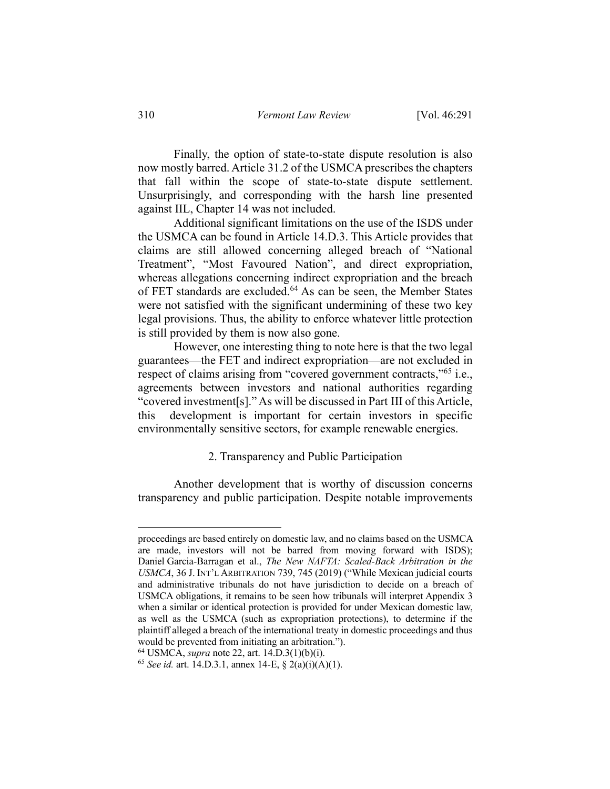Finally, the option of state-to-state dispute resolution is also now mostly barred. Article 31.2 of the USMCA prescribes the chapters that fall within the scope of state-to-state dispute settlement. Unsurprisingly, and corresponding with the harsh line presented against IIL, Chapter 14 was not included.

Additional significant limitations on the use of the ISDS under the USMCA can be found in Article 14.D.3. This Article provides that claims are still allowed concerning alleged breach of "National Treatment", "Most Favoured Nation", and direct expropriation, whereas allegations concerning indirect expropriation and the breach of FET standards are excluded.<sup>64</sup> As can be seen, the Member States were not satisfied with the significant undermining of these two key legal provisions. Thus, the ability to enforce whatever little protection is still provided by them is now also gone.

However, one interesting thing to note here is that the two legal guarantees—the FET and indirect expropriation—are not excluded in respect of claims arising from "covered government contracts,"<sup>65</sup> i.e., agreements between investors and national authorities regarding "covered investment[s]." As will be discussed in Part III of this Article, this development is important for certain investors in specific environmentally sensitive sectors, for example renewable energies.

#### 2. Transparency and Public Participation

Another development that is worthy of discussion concerns transparency and public participation. Despite notable improvements

proceedings are based entirely on domestic law, and no claims based on the USMCA are made, investors will not be barred from moving forward with ISDS); Daniel Garcia-Barragan et al., *The New NAFTA: Scaled-Back Arbitration in the USMCA*, 36 J. INT'L ARBITRATION 739, 745 (2019) ("While Mexican judicial courts and administrative tribunals do not have jurisdiction to decide on a breach of USMCA obligations, it remains to be seen how tribunals will interpret Appendix 3 when a similar or identical protection is provided for under Mexican domestic law, as well as the USMCA (such as expropriation protections), to determine if the plaintiff alleged a breach of the international treaty in domestic proceedings and thus would be prevented from initiating an arbitration.").

<sup>64</sup> USMCA, *supra* note 22, art. 14.D.3(1)(b)(i).

<sup>65</sup> *See id.* art. 14.D.3.1, annex 14-E, § 2(a)(i)(A)(1).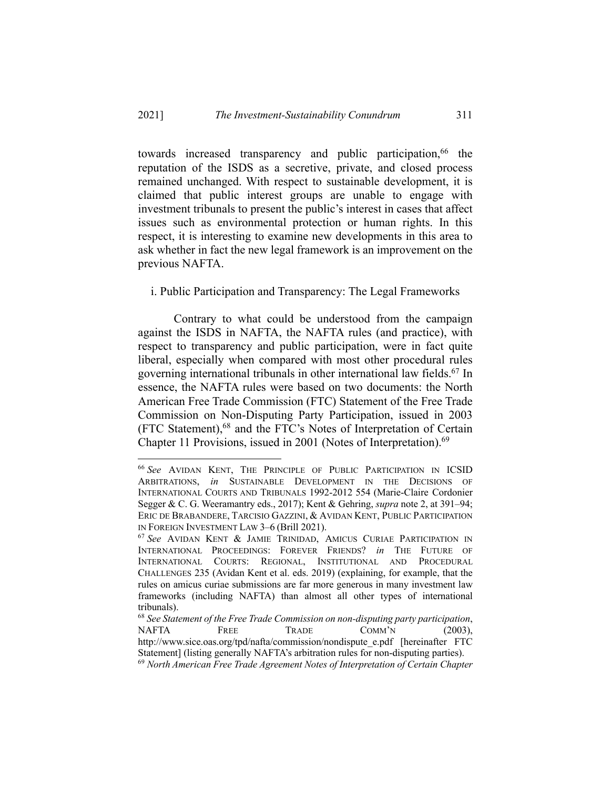towards increased transparency and public participation,<sup>66</sup> the reputation of the ISDS as a secretive, private, and closed process remained unchanged. With respect to sustainable development, it is claimed that public interest groups are unable to engage with investment tribunals to present the public's interest in cases that affect issues such as environmental protection or human rights. In this respect, it is interesting to examine new developments in this area to ask whether in fact the new legal framework is an improvement on the previous NAFTA.

#### i. Public Participation and Transparency: The Legal Frameworks

Contrary to what could be understood from the campaign against the ISDS in NAFTA, the NAFTA rules (and practice), with respect to transparency and public participation, were in fact quite liberal, especially when compared with most other procedural rules governing international tribunals in other international law fields.67 In essence, the NAFTA rules were based on two documents: the North American Free Trade Commission (FTC) Statement of the Free Trade Commission on Non-Disputing Party Participation, issued in 2003 (FTC Statement),68 and the FTC's Notes of Interpretation of Certain Chapter 11 Provisions, issued in 2001 (Notes of Interpretation).<sup>69</sup>

<sup>66</sup> *See* AVIDAN KENT, THE PRINCIPLE OF PUBLIC PARTICIPATION IN ICSID ARBITRATIONS, *in* SUSTAINABLE DEVELOPMENT IN THE DECISIONS OF INTERNATIONAL COURTS AND TRIBUNALS 1992-2012 554 (Marie-Claire Cordonier Segger & C. G. Weeramantry eds., 2017); Kent & Gehring, *supra* note 2, at 391–94; ERIC DE BRABANDERE, TARCISIO GAZZINI, & AVIDAN KENT, PUBLIC PARTICIPATION IN FOREIGN INVESTMENT LAW 3–6 (Brill 2021). 67 *See* AVIDAN KENT & JAMIE TRINIDAD, AMICUS CURIAE PARTICIPATION IN

INTERNATIONAL PROCEEDINGS: FOREVER FRIENDS? *in* THE FUTURE OF INTERNATIONAL COURTS: REGIONAL, INSTITUTIONAL AND PROCEDURAL CHALLENGES 235 (Avidan Kent et al. eds. 2019) (explaining, for example, that the rules on amicus curiae submissions are far more generous in many investment law frameworks (including NAFTA) than almost all other types of international tribunals).<br><sup>68</sup> See Statement of the Free Trade Commission on non-disputing party participation,

NAFTA FREE TRADE COMM'N (2003), http://www.sice.oas.org/tpd/nafta/commission/nondispute\_e.pdf [hereinafter FTC Statement] (listing generally NAFTA's arbitration rules for non-disputing parties).

<sup>69</sup> *North American Free Trade Agreement Notes of Interpretation of Certain Chapter*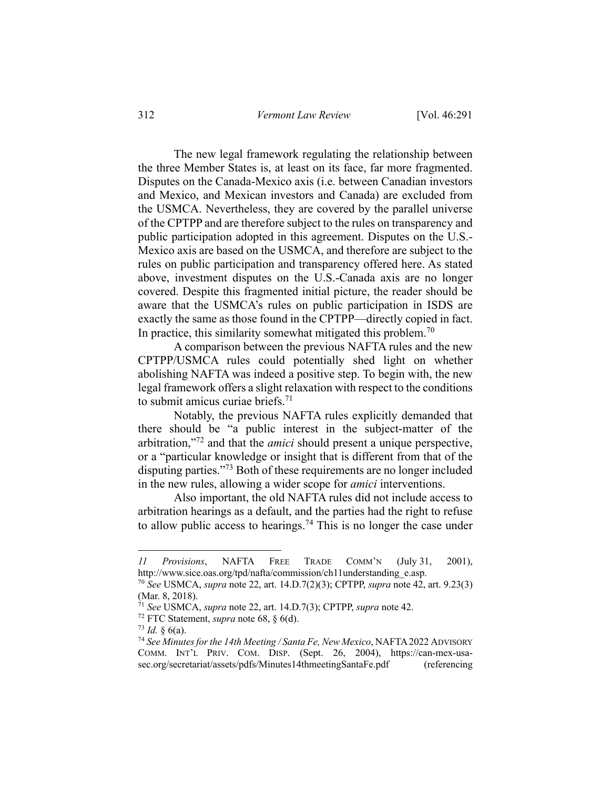The new legal framework regulating the relationship between the three Member States is, at least on its face, far more fragmented. Disputes on the Canada-Mexico axis (i.e. between Canadian investors and Mexico, and Mexican investors and Canada) are excluded from the USMCA. Nevertheless, they are covered by the parallel universe of the CPTPP and are therefore subject to the rules on transparency and public participation adopted in this agreement. Disputes on the U.S.- Mexico axis are based on the USMCA, and therefore are subject to the rules on public participation and transparency offered here. As stated above, investment disputes on the U.S.-Canada axis are no longer covered. Despite this fragmented initial picture, the reader should be aware that the USMCA's rules on public participation in ISDS are exactly the same as those found in the CPTPP—directly copied in fact. In practice, this similarity somewhat mitigated this problem.<sup>70</sup>

A comparison between the previous NAFTA rules and the new CPTPP/USMCA rules could potentially shed light on whether abolishing NAFTA was indeed a positive step. To begin with, the new legal framework offers a slight relaxation with respect to the conditions to submit amicus curiae briefs.71

Notably, the previous NAFTA rules explicitly demanded that there should be "a public interest in the subject-matter of the arbitration,"72 and that the *amici* should present a unique perspective, or a "particular knowledge or insight that is different from that of the disputing parties."73 Both of these requirements are no longer included in the new rules, allowing a wider scope for *amici* interventions.

Also important, the old NAFTA rules did not include access to arbitration hearings as a default, and the parties had the right to refuse to allow public access to hearings.<sup>74</sup> This is no longer the case under

*<sup>11</sup> Provisions*, NAFTA FREE TRADE COMM'N (July 31, 2001), http://www.sice.oas.org/tpd/nafta/commission/ch11understanding\_e.asp. 70 *See* USMCA, *supra* note 22, art. 14.D.7(2)(3); CPTPP, *supra* note 42, art. 9.23(3)

<sup>(</sup>Mar. 8, 2018).

<sup>71</sup> *See* USMCA, *supra* note 22, art. 14.D.7(3); CPTPP, *supra* note 42.

<sup>72</sup> FTC Statement, *supra* note 68, § 6(d).

 $73$  *Id.* § 6(a).

<sup>74</sup> *See Minutes for the 14th Meeting / Santa Fe, New Mexico*, NAFTA 2022 ADVISORY COMM. INT'L PRIV. COM. DISP. (Sept. 26, 2004), https://can-mex-usasec.org/secretariat/assets/pdfs/Minutes14thmeetingSantaFe.pdf (referencing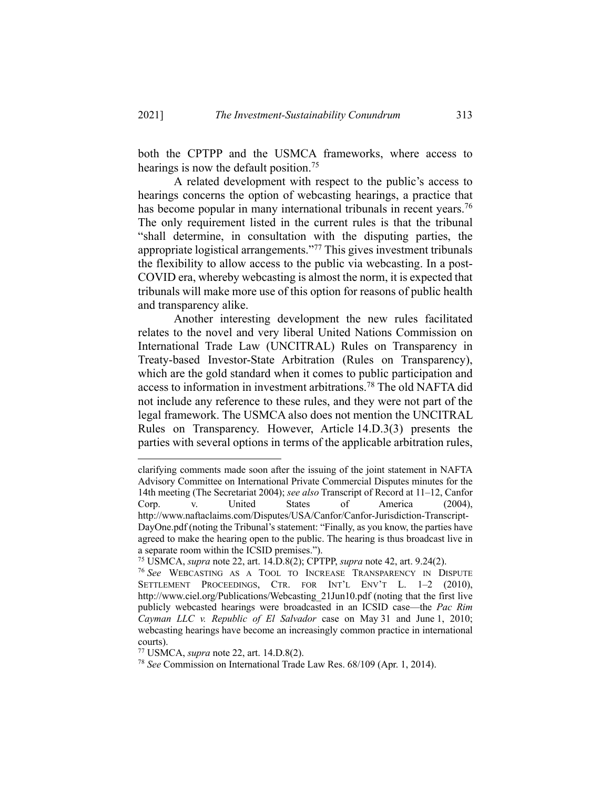both the CPTPP and the USMCA frameworks, where access to hearings is now the default position.<sup>75</sup>

A related development with respect to the public's access to hearings concerns the option of webcasting hearings, a practice that has become popular in many international tribunals in recent years.<sup>76</sup> The only requirement listed in the current rules is that the tribunal "shall determine, in consultation with the disputing parties, the appropriate logistical arrangements."77 This gives investment tribunals the flexibility to allow access to the public via webcasting. In a post-COVID era, whereby webcasting is almost the norm, it is expected that tribunals will make more use of this option for reasons of public health and transparency alike.

Another interesting development the new rules facilitated relates to the novel and very liberal United Nations Commission on International Trade Law (UNCITRAL) Rules on Transparency in Treaty-based Investor-State Arbitration (Rules on Transparency), which are the gold standard when it comes to public participation and access to information in investment arbitrations.78 The old NAFTA did not include any reference to these rules, and they were not part of the legal framework. The USMCA also does not mention the UNCITRAL Rules on Transparency. However, Article 14.D.3(3) presents the parties with several options in terms of the applicable arbitration rules,

clarifying comments made soon after the issuing of the joint statement in NAFTA Advisory Committee on International Private Commercial Disputes minutes for the 14th meeting (The Secretariat 2004); *see also* Transcript of Record at 11–12, Canfor Corp. v. United States of America (2004), http://www.naftaclaims.com/Disputes/USA/Canfor/Canfor-Jurisdiction-Transcript-DayOne.pdf (noting the Tribunal's statement: "Finally, as you know, the parties have agreed to make the hearing open to the public. The hearing is thus broadcast live in a separate room within the ICSID premises.").

<sup>75</sup> USMCA, *supra* note 22, art. 14.D.8(2); CPTPP, *supra* note 42, art. 9.24(2). 76 *See* WEBCASTING AS <sup>A</sup> TOOL TO INCREASE TRANSPARENCY IN DISPUTE

SETTLEMENT PROCEEDINGS, CTR. FOR INT'L ENV'T L. 1–2 (2010), http://www.ciel.org/Publications/Webcasting\_21Jun10.pdf (noting that the first live publicly webcasted hearings were broadcasted in an ICSID case—the *Pac Rim Cayman LLC v. Republic of El Salvador* case on May 31 and June 1, 2010; webcasting hearings have become an increasingly common practice in international courts).

<sup>77</sup> USMCA, *supra* note 22, art. 14.D.8(2).

<sup>78</sup> *See* Commission on International Trade Law Res. 68/109 (Apr. 1, 2014).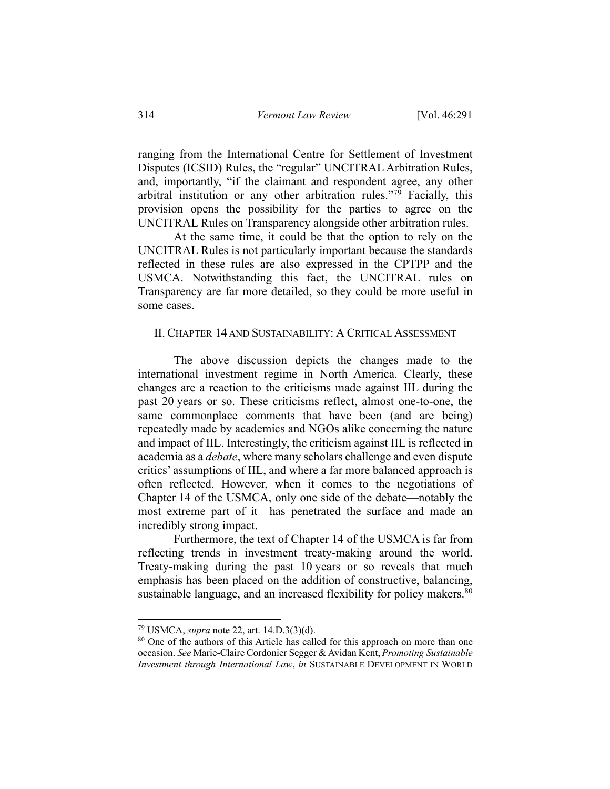ranging from the International Centre for Settlement of Investment Disputes (ICSID) Rules, the "regular" UNCITRAL Arbitration Rules, and, importantly, "if the claimant and respondent agree, any other arbitral institution or any other arbitration rules."79 Facially, this provision opens the possibility for the parties to agree on the UNCITRAL Rules on Transparency alongside other arbitration rules.

At the same time, it could be that the option to rely on the UNCITRAL Rules is not particularly important because the standards reflected in these rules are also expressed in the CPTPP and the USMCA. Notwithstanding this fact, the UNCITRAL rules on Transparency are far more detailed, so they could be more useful in some cases.

#### II. CHAPTER 14 AND SUSTAINABILITY: A CRITICAL ASSESSMENT

The above discussion depicts the changes made to the international investment regime in North America. Clearly, these changes are a reaction to the criticisms made against IIL during the past 20 years or so. These criticisms reflect, almost one-to-one, the same commonplace comments that have been (and are being) repeatedly made by academics and NGOs alike concerning the nature and impact of IIL. Interestingly, the criticism against IIL is reflected in academia as a *debate*, where many scholars challenge and even dispute critics' assumptions of IIL, and where a far more balanced approach is often reflected. However, when it comes to the negotiations of Chapter 14 of the USMCA, only one side of the debate—notably the most extreme part of it—has penetrated the surface and made an incredibly strong impact.

Furthermore, the text of Chapter 14 of the USMCA is far from reflecting trends in investment treaty-making around the world. Treaty-making during the past 10 years or so reveals that much emphasis has been placed on the addition of constructive, balancing, sustainable language, and an increased flexibility for policy makers.  $80$ 

<sup>79</sup> USMCA, *supra* note 22, art. 14.D.3(3)(d).

<sup>&</sup>lt;sup>80</sup> One of the authors of this Article has called for this approach on more than one occasion. *See* Marie-Claire Cordonier Segger & Avidan Kent, *Promoting Sustainable Investment through International Law*, *in* SUSTAINABLE DEVELOPMENT IN WORLD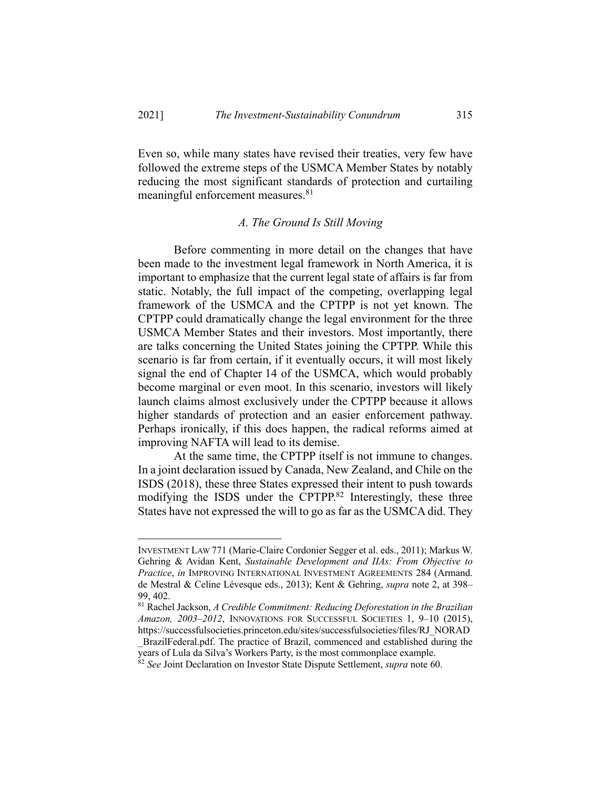Even so, while many states have revised their treaties, very few have followed the extreme steps of the USMCA Member States by notably reducing the most significant standards of protection and curtailing meaningful enforcement measures.<sup>81</sup>

#### *A. The Ground Is Still Moving*

Before commenting in more detail on the changes that have been made to the investment legal framework in North America, it is important to emphasize that the current legal state of affairs is far from static. Notably, the full impact of the competing, overlapping legal framework of the USMCA and the CPTPP is not yet known. The CPTPP could dramatically change the legal environment for the three USMCA Member States and their investors. Most importantly, there are talks concerning the United States joining the CPTPP. While this scenario is far from certain, if it eventually occurs, it will most likely signal the end of Chapter 14 of the USMCA, which would probably become marginal or even moot. In this scenario, investors will likely launch claims almost exclusively under the CPTPP because it allows higher standards of protection and an easier enforcement pathway. Perhaps ironically, if this does happen, the radical reforms aimed at improving NAFTA will lead to its demise.

At the same time, the CPTPP itself is not immune to changes. In a joint declaration issued by Canada, New Zealand, and Chile on the ISDS (2018), these three States expressed their intent to push towards modifying the ISDS under the CPTPP.82 Interestingly, these three States have not expressed the will to go as far as the USMCA did. They

INVESTMENT LAW 771 (Marie-Claire Cordonier Segger et al. eds., 2011); Markus W. Gehring & Avidan Kent, *Sustainable Development and IIAs: From Objective to Practice*, *in* IMPROVING INTERNATIONAL INVESTMENT AGREEMENTS 284 (Armand. de Mestral & Celine Lévesque eds., 2013); Kent & Gehring, *supra* note 2, at 398– 99, 402.

<sup>81</sup> Rachel Jackson, *A Credible Commitment: Reducing Deforestation in the Brazilian Amazon, 2003–2012*, INNOVATIONS FOR SUCCESSFUL SOCIETIES 1, 9–10 (2015), https://successfulsocieties.princeton.edu/sites/successfulsocieties/files/RJ\_NORAD

\_BrazilFederal.pdf. The practice of Brazil, commenced and established during the years of Lula da Silva's Workers Party, is the most commonplace example.

<sup>82</sup> *See* Joint Declaration on Investor State Dispute Settlement, *supra* note 60.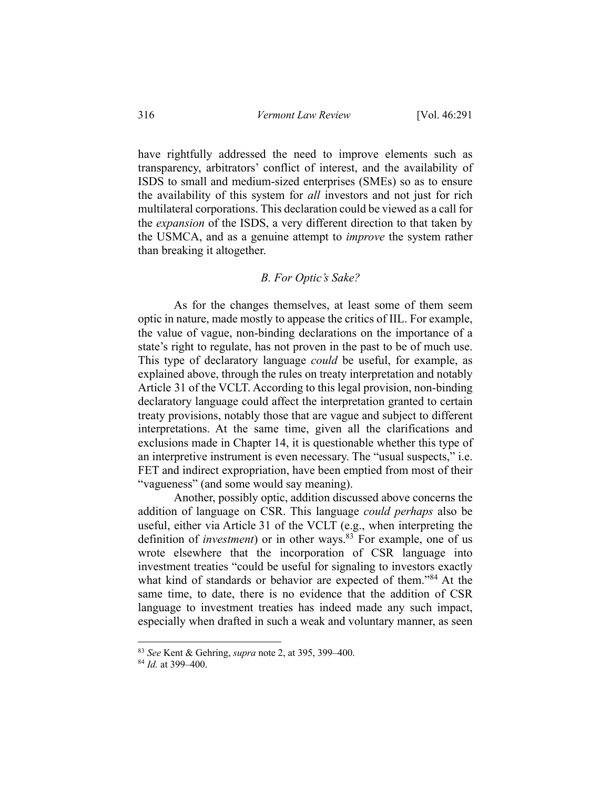have rightfully addressed the need to improve elements such as transparency, arbitrators' conflict of interest, and the availability of ISDS to small and medium-sized enterprises (SMEs) so as to ensure the availability of this system for *all* investors and not just for rich multilateral corporations. This declaration could be viewed as a call for the *expansion* of the ISDS, a very different direction to that taken by the USMCA, and as a genuine attempt to *improve* the system rather than breaking it altogether.

### *B. For Optic's Sake?*

As for the changes themselves, at least some of them seem optic in nature, made mostly to appease the critics of IIL. For example, the value of vague, non-binding declarations on the importance of a state's right to regulate, has not proven in the past to be of much use. This type of declaratory language *could* be useful, for example, as explained above, through the rules on treaty interpretation and notably Article 31 of the VCLT. According to this legal provision, non-binding declaratory language could affect the interpretation granted to certain treaty provisions, notably those that are vague and subject to different interpretations. At the same time, given all the clarifications and exclusions made in Chapter 14, it is questionable whether this type of an interpretive instrument is even necessary. The "usual suspects," i.e. FET and indirect expropriation, have been emptied from most of their "vagueness" (and some would say meaning).

Another, possibly optic, addition discussed above concerns the addition of language on CSR. This language *could perhaps* also be useful, either via Article 31 of the VCLT (e.g., when interpreting the definition of *investment*) or in other ways.<sup>83</sup> For example, one of us wrote elsewhere that the incorporation of CSR language into investment treaties "could be useful for signaling to investors exactly what kind of standards or behavior are expected of them."<sup>84</sup> At the same time, to date, there is no evidence that the addition of CSR language to investment treaties has indeed made any such impact, especially when drafted in such a weak and voluntary manner, as seen

<sup>83</sup> *See* Kent & Gehring, *supra* note 2, at 395, 399–400.

<sup>84</sup> *Id.* at 399–400.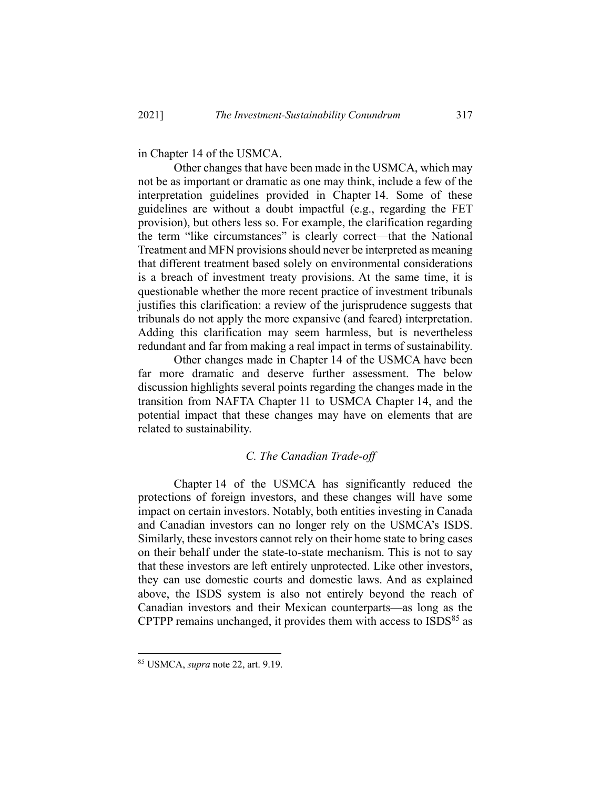in Chapter 14 of the USMCA.

Other changes that have been made in the USMCA, which may not be as important or dramatic as one may think, include a few of the interpretation guidelines provided in Chapter 14. Some of these guidelines are without a doubt impactful (e.g., regarding the FET provision), but others less so. For example, the clarification regarding the term "like circumstances" is clearly correct—that the National Treatment and MFN provisions should never be interpreted as meaning that different treatment based solely on environmental considerations is a breach of investment treaty provisions. At the same time, it is questionable whether the more recent practice of investment tribunals justifies this clarification: a review of the jurisprudence suggests that tribunals do not apply the more expansive (and feared) interpretation. Adding this clarification may seem harmless, but is nevertheless redundant and far from making a real impact in terms of sustainability.

Other changes made in Chapter 14 of the USMCA have been far more dramatic and deserve further assessment. The below discussion highlights several points regarding the changes made in the transition from NAFTA Chapter 11 to USMCA Chapter 14, and the potential impact that these changes may have on elements that are related to sustainability.

#### *C. The Canadian Trade-off*

Chapter 14 of the USMCA has significantly reduced the protections of foreign investors, and these changes will have some impact on certain investors. Notably, both entities investing in Canada and Canadian investors can no longer rely on the USMCA's ISDS. Similarly, these investors cannot rely on their home state to bring cases on their behalf under the state-to-state mechanism. This is not to say that these investors are left entirely unprotected. Like other investors, they can use domestic courts and domestic laws. And as explained above, the ISDS system is also not entirely beyond the reach of Canadian investors and their Mexican counterparts—as long as the CPTPP remains unchanged, it provides them with access to  $ISDS<sup>85</sup>$  as

<sup>85</sup> USMCA, *supra* note 22, art. 9.19.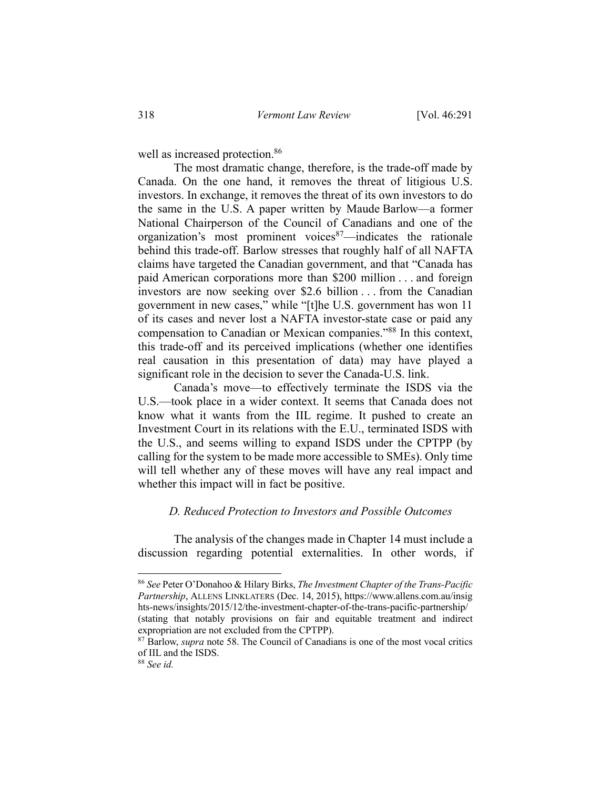well as increased protection.<sup>86</sup>

The most dramatic change, therefore, is the trade-off made by Canada. On the one hand, it removes the threat of litigious U.S. investors. In exchange, it removes the threat of its own investors to do the same in the U.S. A paper written by Maude Barlow—a former National Chairperson of the Council of Canadians and one of the organization's most prominent voices<sup>87</sup>—indicates the rationale behind this trade-off. Barlow stresses that roughly half of all NAFTA claims have targeted the Canadian government, and that "Canada has paid American corporations more than \$200 million . . . and foreign investors are now seeking over \$2.6 billion . . . from the Canadian government in new cases," while "[t]he U.S. government has won 11 of its cases and never lost a NAFTA investor-state case or paid any compensation to Canadian or Mexican companies."88 In this context, this trade-off and its perceived implications (whether one identifies real causation in this presentation of data) may have played a significant role in the decision to sever the Canada-U.S. link.

Canada's move—to effectively terminate the ISDS via the U.S.—took place in a wider context. It seems that Canada does not know what it wants from the IIL regime. It pushed to create an Investment Court in its relations with the E.U., terminated ISDS with the U.S., and seems willing to expand ISDS under the CPTPP (by calling for the system to be made more accessible to SMEs). Only time will tell whether any of these moves will have any real impact and whether this impact will in fact be positive.

## *D. Reduced Protection to Investors and Possible Outcomes*

The analysis of the changes made in Chapter 14 must include a discussion regarding potential externalities. In other words, if

<sup>86</sup> *See* Peter O'Donahoo & Hilary Birks, *The Investment Chapter of the Trans-Pacific Partnership*, ALLENS LINKLATERS (Dec. 14, 2015), https://www.allens.com.au/insig hts-news/insights/2015/12/the-investment-chapter-of-the-trans-pacific-partnership/ (stating that notably provisions on fair and equitable treatment and indirect expropriation are not excluded from the CPTPP).

<sup>&</sup>lt;sup>87</sup> Barlow, *supra* note 58. The Council of Canadians is one of the most vocal critics of IIL and the ISDS.

<sup>88</sup> *See id.*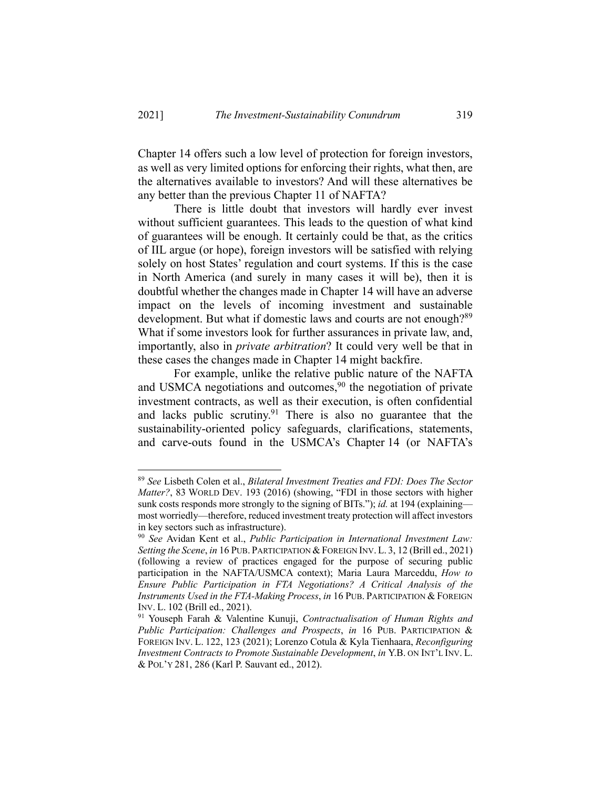Chapter 14 offers such a low level of protection for foreign investors, as well as very limited options for enforcing their rights, what then, are the alternatives available to investors? And will these alternatives be any better than the previous Chapter 11 of NAFTA?

There is little doubt that investors will hardly ever invest without sufficient guarantees. This leads to the question of what kind of guarantees will be enough. It certainly could be that, as the critics of IIL argue (or hope), foreign investors will be satisfied with relying solely on host States' regulation and court systems. If this is the case in North America (and surely in many cases it will be), then it is doubtful whether the changes made in Chapter 14 will have an adverse impact on the levels of incoming investment and sustainable development. But what if domestic laws and courts are not enough?<sup>89</sup> What if some investors look for further assurances in private law, and, importantly, also in *private arbitration*? It could very well be that in these cases the changes made in Chapter 14 might backfire.

For example, unlike the relative public nature of the NAFTA and USMCA negotiations and outcomes,<sup>90</sup> the negotiation of private investment contracts, as well as their execution, is often confidential and lacks public scrutiny.<sup>91</sup> There is also no guarantee that the sustainability-oriented policy safeguards, clarifications, statements, and carve-outs found in the USMCA's Chapter 14 (or NAFTA's

<sup>89</sup> *See* Lisbeth Colen et al., *Bilateral Investment Treaties and FDI: Does The Sector Matter?*, 83 WORLD DEV. 193 (2016) (showing, "FDI in those sectors with higher sunk costs responds more strongly to the signing of BITs."); *id.* at 194 (explaining most worriedly—therefore, reduced investment treaty protection will affect investors in key sectors such as infrastructure).

<sup>90</sup> *See* Avidan Kent et al., *Public Participation in International Investment Law: Setting the Scene*, *in* 16 PUB. PARTICIPATION &FOREIGN INV. L. 3, 12 (Brill ed., 2021) (following a review of practices engaged for the purpose of securing public participation in the NAFTA/USMCA context); Maria Laura Marceddu, *How to Ensure Public Participation in FTA Negotiations? A Critical Analysis of the Instruments Used in the FTA-Making Process*, *in* 16 PUB. PARTICIPATION & FOREIGN INV. L. 102 (Brill ed., 2021).

<sup>91</sup> Youseph Farah & Valentine Kunuji, *Contractualisation of Human Rights and Public Participation: Challenges and Prospects*, *in* 16 PUB. PARTICIPATION & FOREIGN INV. L. 122, 123 (2021); Lorenzo Cotula & Kyla Tienhaara, *Reconfiguring Investment Contracts to Promote Sustainable Development*, *in* Y.B. ON INT'L INV. L. & POL'Y 281, 286 (Karl P. Sauvant ed., 2012).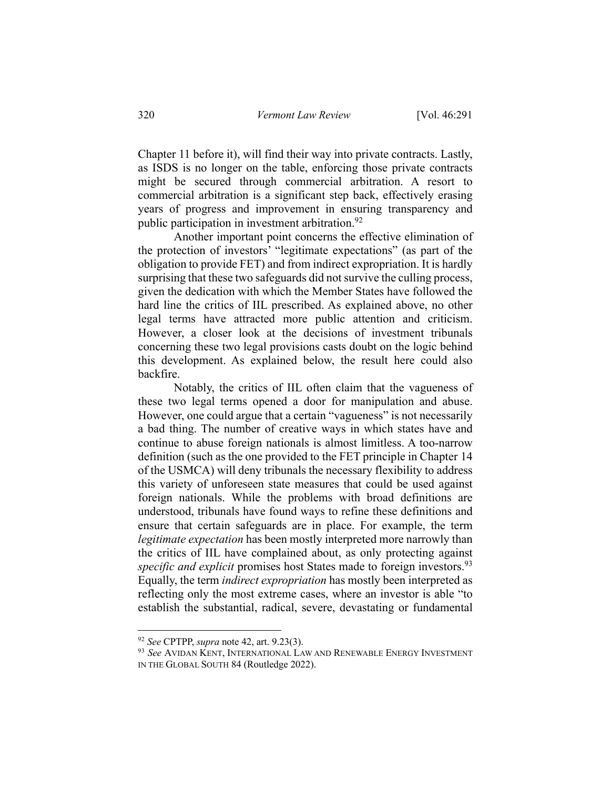Chapter 11 before it), will find their way into private contracts. Lastly, as ISDS is no longer on the table, enforcing those private contracts might be secured through commercial arbitration. A resort to commercial arbitration is a significant step back, effectively erasing years of progress and improvement in ensuring transparency and public participation in investment arbitration.<sup>92</sup>

Another important point concerns the effective elimination of the protection of investors' "legitimate expectations" (as part of the obligation to provide FET) and from indirect expropriation. It is hardly surprising that these two safeguards did not survive the culling process, given the dedication with which the Member States have followed the hard line the critics of IIL prescribed. As explained above, no other legal terms have attracted more public attention and criticism. However, a closer look at the decisions of investment tribunals concerning these two legal provisions casts doubt on the logic behind this development. As explained below, the result here could also backfire.

Notably, the critics of IIL often claim that the vagueness of these two legal terms opened a door for manipulation and abuse. However, one could argue that a certain "vagueness" is not necessarily a bad thing. The number of creative ways in which states have and continue to abuse foreign nationals is almost limitless. A too-narrow definition (such as the one provided to the FET principle in Chapter 14 of the USMCA) will deny tribunals the necessary flexibility to address this variety of unforeseen state measures that could be used against foreign nationals. While the problems with broad definitions are understood, tribunals have found ways to refine these definitions and ensure that certain safeguards are in place. For example, the term *legitimate expectation* has been mostly interpreted more narrowly than the critics of IIL have complained about, as only protecting against *specific and explicit* promises host States made to foreign investors.<sup>93</sup> Equally, the term *indirect expropriation* has mostly been interpreted as reflecting only the most extreme cases, where an investor is able "to establish the substantial, radical, severe, devastating or fundamental

<sup>92</sup> *See* CPTPP, *supra* note 42, art. 9.23(3).

<sup>93</sup> *See* AVIDAN KENT, INTERNATIONAL LAW AND RENEWABLE ENERGY INVESTMENT IN THE GLOBAL SOUTH 84 (Routledge 2022).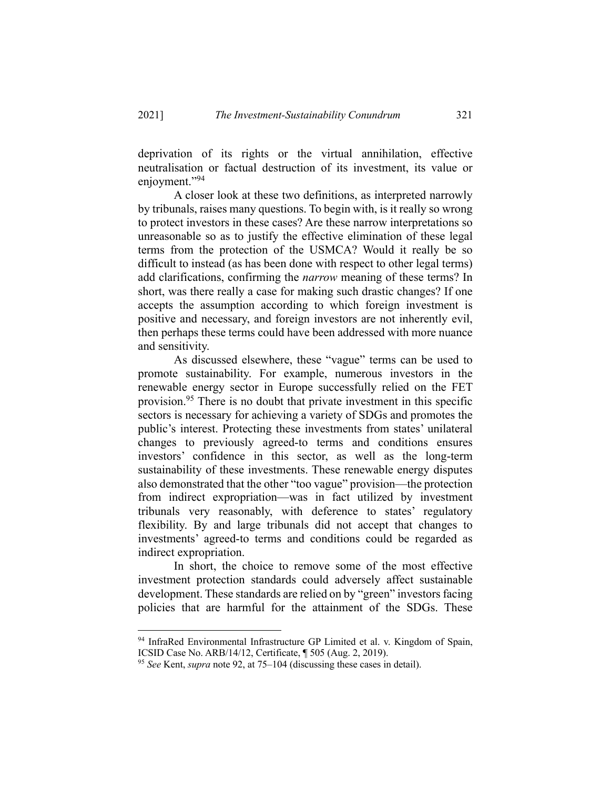deprivation of its rights or the virtual annihilation, effective neutralisation or factual destruction of its investment, its value or enjoyment."94

A closer look at these two definitions, as interpreted narrowly by tribunals, raises many questions. To begin with, is it really so wrong to protect investors in these cases? Are these narrow interpretations so unreasonable so as to justify the effective elimination of these legal terms from the protection of the USMCA? Would it really be so difficult to instead (as has been done with respect to other legal terms) add clarifications, confirming the *narrow* meaning of these terms? In short, was there really a case for making such drastic changes? If one accepts the assumption according to which foreign investment is positive and necessary, and foreign investors are not inherently evil, then perhaps these terms could have been addressed with more nuance and sensitivity.

As discussed elsewhere, these "vague" terms can be used to promote sustainability. For example, numerous investors in the renewable energy sector in Europe successfully relied on the FET provision.95 There is no doubt that private investment in this specific sectors is necessary for achieving a variety of SDGs and promotes the public's interest. Protecting these investments from states' unilateral changes to previously agreed-to terms and conditions ensures investors' confidence in this sector, as well as the long-term sustainability of these investments. These renewable energy disputes also demonstrated that the other "too vague" provision—the protection from indirect expropriation—was in fact utilized by investment tribunals very reasonably, with deference to states' regulatory flexibility. By and large tribunals did not accept that changes to investments' agreed-to terms and conditions could be regarded as indirect expropriation.

In short, the choice to remove some of the most effective investment protection standards could adversely affect sustainable development. These standards are relied on by "green" investors facing policies that are harmful for the attainment of the SDGs. These

<sup>&</sup>lt;sup>94</sup> InfraRed Environmental Infrastructure GP Limited et al. v. Kingdom of Spain, ICSID Case No. ARB/14/12, Certificate, ¶ 505 (Aug. 2, 2019).<br><sup>95</sup> *See* Kent, *supra* note 92, at 75–104 (discussing these cases in detail).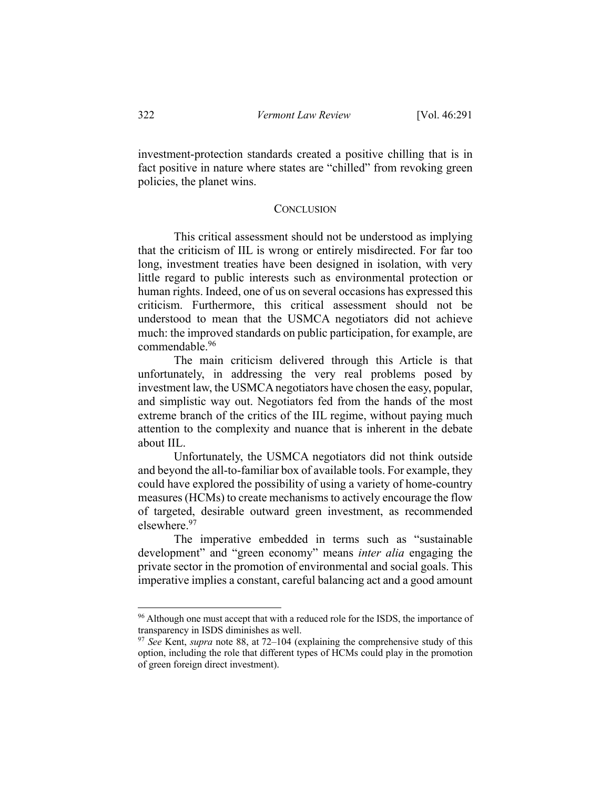investment-protection standards created a positive chilling that is in fact positive in nature where states are "chilled" from revoking green policies, the planet wins.

#### **CONCLUSION**

This critical assessment should not be understood as implying that the criticism of IIL is wrong or entirely misdirected. For far too long, investment treaties have been designed in isolation, with very little regard to public interests such as environmental protection or human rights. Indeed, one of us on several occasions has expressed this criticism. Furthermore, this critical assessment should not be understood to mean that the USMCA negotiators did not achieve much: the improved standards on public participation, for example, are commendable.96

The main criticism delivered through this Article is that unfortunately, in addressing the very real problems posed by investment law, the USMCA negotiators have chosen the easy, popular, and simplistic way out. Negotiators fed from the hands of the most extreme branch of the critics of the IIL regime, without paying much attention to the complexity and nuance that is inherent in the debate about IIL.

Unfortunately, the USMCA negotiators did not think outside and beyond the all-to-familiar box of available tools. For example, they could have explored the possibility of using a variety of home-country measures (HCMs) to create mechanisms to actively encourage the flow of targeted, desirable outward green investment, as recommended elsewhere.<sup>97</sup>

The imperative embedded in terms such as "sustainable development" and "green economy" means *inter alia* engaging the private sector in the promotion of environmental and social goals. This imperative implies a constant, careful balancing act and a good amount

<sup>&</sup>lt;sup>96</sup> Although one must accept that with a reduced role for the ISDS, the importance of transparency in ISDS diminishes as well.

<sup>97</sup> *See* Kent, *supra* note 88, at 72–104 (explaining the comprehensive study of this option, including the role that different types of HCMs could play in the promotion of green foreign direct investment).